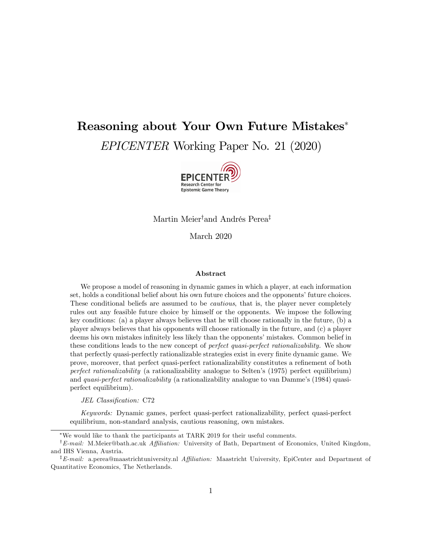# Reasoning about Your Own Future Mistakes EPICENTER Working Paper No. 21 (2020)



Martin Meier<sup>†</sup>and Andrés Perea<sup>‡</sup>

March 2020

#### Abstract

We propose a model of reasoning in dynamic games in which a player, at each information set, holds a conditional belief about his own future choices and the opponents' future choices. These conditional beliefs are assumed to be cautious, that is, the player never completely rules out any feasible future choice by himself or the opponents. We impose the following key conditions: (a) a player always believes that he will choose rationally in the future, (b) a player always believes that his opponents will choose rationally in the future, and (c) a player deems his own mistakes infinitely less likely than the opponents' mistakes. Common belief in these conditions leads to the new concept of *perfect quasi-perfect rationalizability*. We show that perfectly quasi-perfectly rationalizable strategies exist in every finite dynamic game. We prove, moreover, that perfect quasi-perfect rationalizability constitutes a refinement of both perfect rationalizability (a rationalizability analogue to Selten's  $(1975)$  perfect equilibrium) and *quasi-perfect rationalizability* (a rationalizability analogue to van Damme's (1984) quasiperfect equilibrium).

JEL Classification: C72

Keywords: Dynamic games, perfect quasi-perfect rationalizability, perfect quasi-perfect equilibrium, non-standard analysis, cautious reasoning, own mistakes.

We would like to thank the participants at TARK 2019 for their useful comments.

<sup>&</sup>lt;sup>†</sup> E-mail: M.Meier@bath.ac.uk Affiliation: University of Bath, Department of Economics, United Kingdom, and IHS Vienna, Austria.

<sup>&</sup>lt;sup>‡</sup>E-mail: a.perea@maastrichtuniversity.nl Affiliation: Maastricht University, EpiCenter and Department of Quantitative Economics, The Netherlands.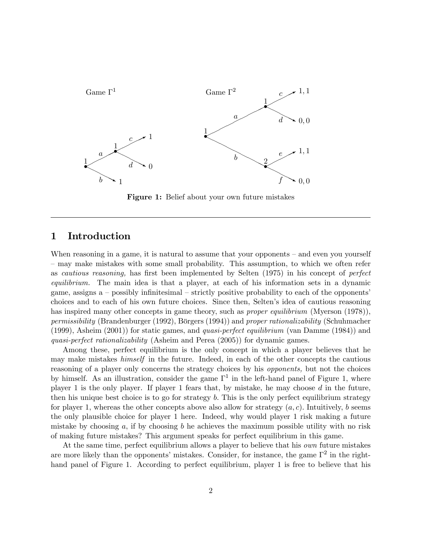

Figure 1: Belief about your own future mistakes

### 1 Introduction

When reasoning in a game, it is natural to assume that your opponents  $-$  and even you yourself – may make mistakes with some small probability. This assumption, to which we often refer as *cautious reasoning*, has first been implemented by Selten (1975) in his concept of *perfect* equilibrium. The main idea is that a player, at each of his information sets in a dynamic game, assigns a  $-$  possibly infinitesimal  $-$  strictly positive probability to each of the opponents<sup> $\lambda$ </sup> choices and to each of his own future choices. Since then, Seltenís idea of cautious reasoning has inspired many other concepts in game theory, such as *proper equilibrium* (Myerson (1978)), permissibility (Brandenburger (1992), Börgers (1994)) and proper rationalizability (Schuhmacher (1999), Asheim (2001)) for static games, and quasi-perfect equilibrium (van Damme (1984)) and quasi-perfect rationalizability (Asheim and Perea (2005)) for dynamic games.

Among these, perfect equilibrium is the only concept in which a player believes that he may make mistakes himself in the future. Indeed, in each of the other concepts the cautious reasoning of a player only concerns the strategy choices by his opponents, but not the choices by himself. As an illustration, consider the game  $\Gamma^1$  in the left-hand panel of Figure 1, where player 1 is the only player. If player 1 fears that, by mistake, he may choose  $d$  in the future, then his unique best choice is to go for strategy  $b$ . This is the only perfect equilibrium strategy for player 1, whereas the other concepts above also allow for strategy  $(a, c)$ . Intuitively, b seems the only plausible choice for player 1 here. Indeed, why would player 1 risk making a future mistake by choosing  $a$ , if by choosing  $b$  he achieves the maximum possible utility with no risk of making future mistakes? This argument speaks for perfect equilibrium in this game.

At the same time, perfect equilibrium allows a player to believe that his *own* future mistakes are more likely than the opponents' mistakes. Consider, for instance, the game  $\Gamma^2$  in the righthand panel of Figure 1. According to perfect equilibrium, player 1 is free to believe that his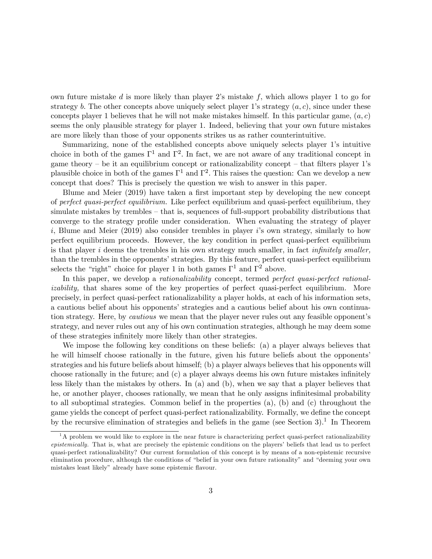own future mistake  $d$  is more likely than player 2's mistake  $f$ , which allows player 1 to go for strategy b. The other concepts above uniquely select player 1's strategy  $(a, c)$ , since under these concepts player 1 believes that he will not make mistakes himself. In this particular game,  $(a, c)$ seems the only plausible strategy for player 1. Indeed, believing that your own future mistakes are more likely than those of your opponents strikes us as rather counterintuitive.

Summarizing, none of the established concepts above uniquely selects player 1's intuitive choice in both of the games  $\Gamma^1$  and  $\Gamma^2$ . In fact, we are not aware of any traditional concept in game theory – be it an equilibrium concept or rationalizability concept – that filters player 1's plausible choice in both of the games  $\Gamma^1$  and  $\Gamma^2$ . This raises the question: Can we develop a new concept that does? This is precisely the question we wish to answer in this paper.

Blume and Meier (2019) have taken a first important step by developing the new concept of perfect quasi-perfect equilibrium. Like perfect equilibrium and quasi-perfect equilibrium, they simulate mistakes by trembles  $-$  that is, sequences of full-support probability distributions that converge to the strategy profile under consideration. When evaluating the strategy of player i, Blume and Meier (2019) also consider trembles in player is own strategy, similarly to how perfect equilibrium proceeds. However, the key condition in perfect quasi-perfect equilibrium is that player  $i$  deems the trembles in his own strategy much smaller, in fact *infinitely smaller*, than the trembles in the opponents' strategies. By this feature, perfect quasi-perfect equilibrium selects the "right" choice for player 1 in both games  $\Gamma^1$  and  $\Gamma^2$  above.

In this paper, we develop a *rationalizability* concept, termed *perfect quasi-perfect rational*izability, that shares some of the key properties of perfect quasi-perfect equilibrium. More precisely, in perfect quasi-perfect rationalizability a player holds, at each of his information sets, a cautious belief about his opponents' strategies and a cautious belief about his own continuation strategy. Here, by *cautious* we mean that the player never rules out any feasible opponent's strategy, and never rules out any of his own continuation strategies, although he may deem some of these strategies infinitely more likely than other strategies.

We impose the following key conditions on these beliefs: (a) a player always believes that he will himself choose rationally in the future, given his future beliefs about the opponents' strategies and his future beliefs about himself; (b) a player always believes that his opponents will choose rationally in the future; and  $(c)$  a player always deems his own future mistakes infinitely less likely than the mistakes by others. In (a) and (b), when we say that a player believes that he, or another player, chooses rationally, we mean that he only assigns infinitesimal probability to all suboptimal strategies. Common belief in the properties (a), (b) and (c) throughout the game yields the concept of perfect quasi-perfect rationalizability. Formally, we define the concept by the recursive elimination of strategies and beliefs in the game (see Section 3).<sup>1</sup> In Theorem

 $<sup>1</sup>A$  problem we would like to explore in the near future is characterizing perfect quasi-perfect rationalizability</sup> epistemically. That is, what are precisely the epistemic conditions on the players' beliefs that lead us to perfect quasi-perfect rationalizability? Our current formulation of this concept is by means of a non-epistemic recursive elimination procedure, although the conditions of "belief in your own future rationality" and "deeming your own mistakes least likely" already have some epistemic flavour.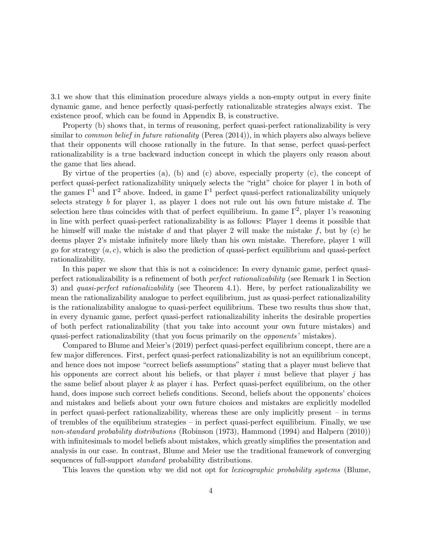3.1 we show that this elimination procedure always yields a non-empty output in every finite dynamic game, and hence perfectly quasi-perfectly rationalizable strategies always exist. The existence proof, which can be found in Appendix B, is constructive.

Property (b) shows that, in terms of reasoning, perfect quasi-perfect rationalizability is very similar to *common belief in future rationality* (Perea  $(2014)$ ), in which players also always believe that their opponents will choose rationally in the future. In that sense, perfect quasi-perfect rationalizability is a true backward induction concept in which the players only reason about the game that lies ahead.

By virtue of the properties (a), (b) and (c) above, especially property (c), the concept of perfect quasi-perfect rationalizability uniquely selects the "right" choice for player 1 in both of the games  $\Gamma^1$  and  $\Gamma^2$  above. Indeed, in game  $\Gamma^1$  perfect quasi-perfect rationalizability uniquely selects strategy b for player 1, as player 1 does not rule out his own future mistake  $d$ . The selection here thus coincides with that of perfect equilibrium. In game  $\Gamma^2$ , player 1's reasoning in line with perfect quasi-perfect rationalizability is as follows: Player 1 deems it possible that he himself will make the mistake d and that player 2 will make the mistake  $f$ , but by (c) he deems player 2's mistake infinitely more likely than his own mistake. Therefore, player 1 will go for strategy  $(a, c)$ , which is also the prediction of quasi-perfect equilibrium and quasi-perfect rationalizability.

In this paper we show that this is not a coincidence: In every dynamic game, perfect quasiperfect rationalizability is a refinement of both *perfect rationalizability* (see Remark 1 in Section 3) and quasi-perfect rationalizability (see Theorem 4.1). Here, by perfect rationalizability we mean the rationalizability analogue to perfect equilibrium, just as quasi-perfect rationalizability is the rationalizability analogue to quasi-perfect equilibrium. These two results thus show that, in every dynamic game, perfect quasi-perfect rationalizability inherits the desirable properties of both perfect rationalizability (that you take into account your own future mistakes) and quasi-perfect rationalizability (that you focus primarily on the *opponents'* mistakes).

Compared to Blume and Meierís (2019) perfect quasi-perfect equilibrium concept, there are a few major differences. First, perfect quasi-perfect rationalizability is not an equilibrium concept, and hence does not impose "correct beliefs assumptions" stating that a player must believe that his opponents are correct about his beliefs, or that player i must believe that player j has the same belief about player  $k$  as player  $i$  has. Perfect quasi-perfect equilibrium, on the other hand, does impose such correct beliefs conditions. Second, beliefs about the opponents' choices and mistakes and beliefs about your own future choices and mistakes are explicitly modelled in perfect quasi-perfect rationalizability, whereas these are only implicitly present  $\overline{\phantom{a}}$  in terms of trembles of the equilibrium strategies  $\overline{\phantom{a}}$  in perfect quasi-perfect equilibrium. Finally, we use non-standard probability distributions (Robinson (1973), Hammond (1994) and Halpern (2010)) with infinitesimals to model beliefs about mistakes, which greatly simplifies the presentation and analysis in our case. In contrast, Blume and Meier use the traditional framework of converging sequences of full-support standard probability distributions.

This leaves the question why we did not opt for lexicographic probability systems (Blume,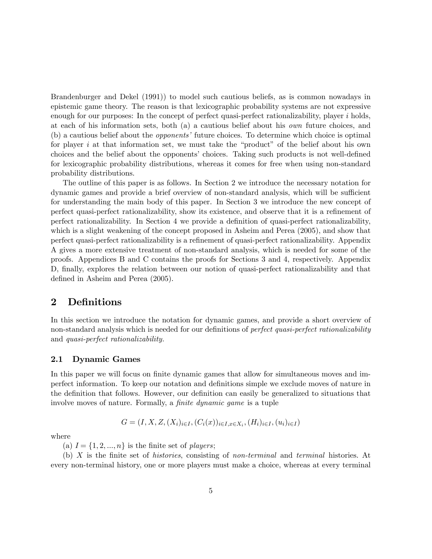Brandenburger and Dekel (1991)) to model such cautious beliefs, as is common nowadays in epistemic game theory. The reason is that lexicographic probability systems are not expressive enough for our purposes: In the concept of perfect quasi-perfect rationalizability, player  $i$  holds, at each of his information sets, both (a) a cautious belief about his own future choices, and (b) a cautious belief about the *opponents'* future choices. To determine which choice is optimal for player i at that information set, we must take the "product" of the belief about his own choices and the belief about the opponents' choices. Taking such products is not well-defined for lexicographic probability distributions, whereas it comes for free when using non-standard probability distributions.

The outline of this paper is as follows. In Section 2 we introduce the necessary notation for dynamic games and provide a brief overview of non-standard analysis, which will be sufficient for understanding the main body of this paper. In Section 3 we introduce the new concept of perfect quasi-perfect rationalizability, show its existence, and observe that it is a refinement of perfect rationalizability. In Section 4 we provide a definition of quasi-perfect rationalizability, which is a slight weakening of the concept proposed in Asheim and Perea (2005), and show that perfect quasi-perfect rationalizability is a refinement of quasi-perfect rationalizability. Appendix A gives a more extensive treatment of non-standard analysis, which is needed for some of the proofs. Appendices B and C contains the proofs for Sections 3 and 4, respectively. Appendix D, finally, explores the relation between our notion of quasi-perfect rationalizability and that defined in Asheim and Perea  $(2005)$ .

### 2 Definitions

In this section we introduce the notation for dynamic games, and provide a short overview of non-standard analysis which is needed for our definitions of *perfect quasi-perfect rationalizability* and quasi-perfect rationalizability.

#### 2.1 Dynamic Games

In this paper we will focus on finite dynamic games that allow for simultaneous moves and imperfect information. To keep our notation and deÖnitions simple we exclude moves of nature in the definition that follows. However, our definition can easily be generalized to situations that involve moves of nature. Formally, a *finite dynamic game* is a tuple

$$
G = (I, X, Z, (X_i)_{i \in I}, (C_i(x))_{i \in I, x \in X_i}, (H_i)_{i \in I}, (u_i)_{i \in I})
$$

where

(a)  $I = \{1, 2, ..., n\}$  is the finite set of *players*;

(b)  $X$  is the finite set of histories, consisting of non-terminal and terminal histories. At every non-terminal history, one or more players must make a choice, whereas at every terminal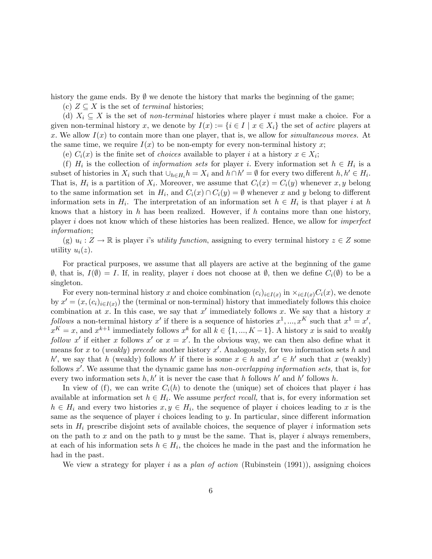history the game ends. By  $\emptyset$  we denote the history that marks the beginning of the game;

(c)  $Z \subseteq X$  is the set of *terminal* histories;

(d)  $X_i \subseteq X$  is the set of non-terminal histories where player i must make a choice. For a given non-terminal history x, we denote by  $I(x) := \{i \in I \mid x \in X_i\}$  the set of active players at x. We allow  $I(x)$  to contain more than one player, that is, we allow for simultaneous moves. At the same time, we require  $I(x)$  to be non-empty for every non-terminal history x;

(e)  $C_i(x)$  is the finite set of *choices* available to player *i* at a history  $x \in X_i$ ;

(f)  $H_i$  is the collection of *information sets* for player *i*. Every information set  $h \in H_i$  is a subset of histories in  $X_i$  such that  $\bigcup_{h\in H_i} h = X_i$  and  $h\cap h' = \emptyset$  for every two different  $h, h' \in H_i$ . That is,  $H_i$  is a partition of  $X_i$ . Moreover, we assume that  $C_i(x) = C_i(y)$  whenever  $x, y$  belong to the same information set in  $H_i$ , and  $C_i(x) \cap C_i(y) = \emptyset$  whenever x and y belong to different information sets in  $H_i$ . The interpretation of an information set  $h \in H_i$  is that player i at h knows that a history in  $h$  has been realized. However, if  $h$  contains more than one history, player i does not know which of these histories has been realized. Hence, we allow for imperfect information;

(g)  $u_i: Z \to \mathbb{R}$  is player is utility function, assigning to every terminal history  $z \in Z$  some utility  $u_i(z)$ .

For practical purposes, we assume that all players are active at the beginning of the game  $\emptyset$ , that is,  $I(\emptyset) = I$ . If, in reality, player i does not choose at  $\emptyset$ , then we define  $C_i(\emptyset)$  to be a singleton.

For every non-terminal history x and choice combination  $(c_i)_{i\in I(x)}$  in  $\times_{i\in I(x)} C_i(x)$ , we denote by  $x' = (x, (c_i)_{i \in I(x)})$  the (terminal or non-terminal) history that immediately follows this choice combination at x. In this case, we say that  $x'$  immediately follows x. We say that a history x follows a non-terminal history x' if there is a sequence of histories  $x^1, ..., x^K$  such that  $x^1 = x'$ ,  $x^K = x$ , and  $x^{k+1}$  immediately follows  $x^k$  for all  $k \in \{1, ..., K-1\}$ . A history x is said to weakly follow x' if either x follows x' or  $x = x'$ . In the obvious way, we can then also define what it means for x to (weakly) precede another history  $x'$ . Analogously, for two information sets h and h', we say that h (weakly) follows h' if there is some  $x \in h$  and  $x' \in h'$  such that x (weakly) follows  $x'$ . We assume that the dynamic game has non-overlapping information sets, that is, for every two information sets  $h, h'$  it is never the case that h follows h' and h' follows h.

In view of (f), we can write  $C_i(h)$  to denote the (unique) set of choices that player i has available at information set  $h \in H_i$ . We assume *perfect recall*, that is, for every information set  $h \in H_i$  and every two histories  $x, y \in H_i$ , the sequence of player i choices leading to x is the same as the sequence of player i choices leading to y. In particular, since different information sets in  $H_i$  prescribe disjoint sets of available choices, the sequence of player i information sets on the path to x and on the path to y must be the same. That is, player i always remembers, at each of his information sets  $h \in H_i$ , the choices he made in the past and the information he had in the past.

We view a strategy for player i as a plan of action (Rubinstein  $(1991)$ ), assigning choices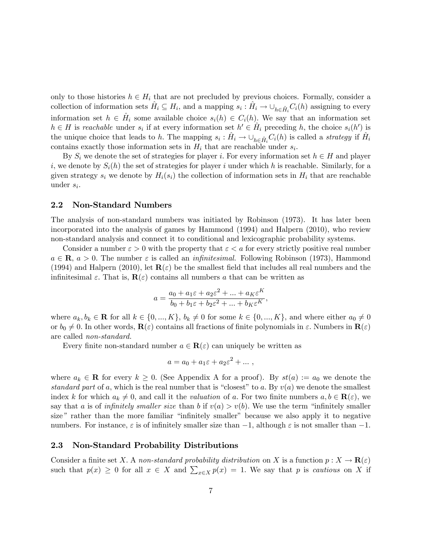only to those histories  $h \in H_i$  that are not precluded by previous choices. Formally, consider a collection of information sets  $\hat{H}_i \subseteq H_i$ , and a mapping  $s_i : \hat{H}_i \to \bigcup_{h \in \hat{H}_i} C_i(h)$  assigning to every information set  $h \in \hat{H}_i$  some available choice  $s_i(h) \in C_i(h)$ . We say that an information set  $h \in H$  is reachable under  $s_i$  if at every information set  $h' \in \hat{H}_i$  preceding h, the choice  $s_i(h')$  is the unique choice that leads to h. The mapping  $s_i : \hat{H}_i \to \bigcup_{h \in \hat{H}_i} C_i(h)$  is called a *strategy* if  $\hat{H}_i$ contains exactly those information sets in  $H_i$  that are reachable under  $s_i$ .

By  $S_i$  we denote the set of strategies for player i. For every information set  $h \in H$  and player i, we denote by  $S_i(h)$  the set of strategies for player i under which h is reachable. Similarly, for a given strategy  $s_i$  we denote by  $H_i(s_i)$  the collection of information sets in  $H_i$  that are reachable under  $s_i$ .

#### 2.2 Non-Standard Numbers

The analysis of non-standard numbers was initiated by Robinson (1973). It has later been incorporated into the analysis of games by Hammond (1994) and Halpern (2010), who review non-standard analysis and connect it to conditional and lexicographic probability systems.

Consider a number  $\varepsilon > 0$  with the property that  $\varepsilon < a$  for every strictly positive real number  $a \in \mathbf{R}$ ,  $a > 0$ . The number  $\varepsilon$  is called an *infinitesimal*. Following Robinson (1973), Hammond (1994) and Halpern (2010), let  $\mathbf{R}(\varepsilon)$  be the smallest field that includes all real numbers and the infinitesimal  $\varepsilon$ . That is,  $\mathbf{R}(\varepsilon)$  contains all numbers a that can be written as

$$
a = \frac{a_0 + a_1 \varepsilon + a_2 \varepsilon^2 + \dots + a_K \varepsilon^K}{b_0 + b_1 \varepsilon + b_2 \varepsilon^2 + \dots + b_K \varepsilon^K},
$$

where  $a_k, b_k \in \mathbf{R}$  for all  $k \in \{0, ..., K\}$ ,  $b_k \neq 0$  for some  $k \in \{0, ..., K\}$ , and where either  $a_0 \neq 0$ or  $b_0 \neq 0$ . In other words,  $\mathbf{R}(\varepsilon)$  contains all fractions of finite polynomials in  $\varepsilon$ . Numbers in  $\mathbf{R}(\varepsilon)$ are called non-standard.

Every finite non-standard number  $a \in \mathbf{R}(\varepsilon)$  can uniquely be written as

$$
a = a_0 + a_1 \varepsilon + a_2 \varepsilon^2 + \dots,
$$

where  $a_k \in \mathbf{R}$  for every  $k \geq 0$ . (See Appendix A for a proof). By  $st(a) := a_0$  we denote the standard part of a, which is the real number that is "closest" to a. By  $v(a)$  we denote the smallest index k for which  $a_k \neq 0$ , and call it the valuation of a. For two finite numbers  $a, b \in \mathbf{R}(\varepsilon)$ , we say that a is of *infinitely smaller size* than b if  $v(a) > v(b)$ . We use the term "infinitely smaller" size" rather than the more familiar "infinitely smaller" because we also apply it to negative numbers. For instance,  $\varepsilon$  is of infinitely smaller size than  $-1$ , although  $\varepsilon$  is not smaller than  $-1$ .

#### 2.3 Non-Standard Probability Distributions

Consider a finite set X. A non-standard probability distribution on X is a function  $p: X \to \mathbf{R}(\varepsilon)$ such that  $p(x) \geq 0$  for all  $x \in X$  and  $\sum_{x \in X} p(x) = 1$ . We say that p is *cautious* on X if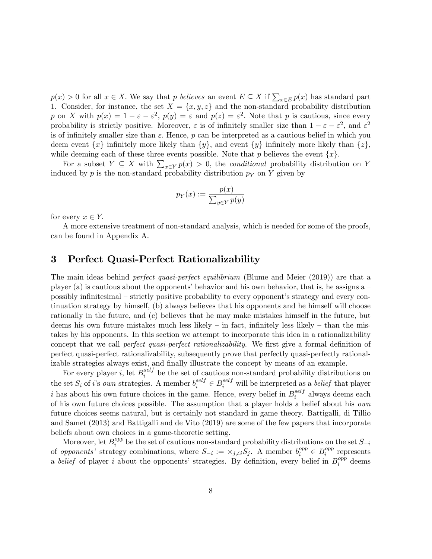$p(x) > 0$  for all  $x \in X$ . We say that p believes an event  $E \subseteq X$  if  $\sum_{x \in E} p(x)$  has standard part 1. Consider, for instance, the set  $X = \{x, y, z\}$  and the non-standard probability distribution p on X with  $p(x) = 1 - \varepsilon - \varepsilon^2$ ,  $p(y) = \varepsilon$  and  $p(z) = \varepsilon^2$ . Note that p is cautious, since every probability is strictly positive. Moreover,  $\varepsilon$  is of infinitely smaller size than  $1 - \varepsilon - \varepsilon^2$ , and  $\varepsilon^2$ is of infinitely smaller size than  $\varepsilon$ . Hence, p can be interpreted as a cautious belief in which you deem event  $\{x\}$  infinitely more likely than  $\{y\}$ , and event  $\{y\}$  infinitely more likely than  $\{z\}$ , while deeming each of these three events possible. Note that p believes the event  $\{x\}$ .

For a subset  $Y \subseteq X$  with  $\sum_{x \in Y} p(x) > 0$ , the *conditional* probability distribution on Y induced by p is the non-standard probability distribution  $p<sub>Y</sub>$  on Y given by

$$
p_Y(x) := \frac{p(x)}{\sum_{y \in Y} p(y)}
$$

for every  $x \in Y$ .

A more extensive treatment of non-standard analysis, which is needed for some of the proofs, can be found in Appendix A.

### 3 Perfect Quasi-Perfect Rationalizability

The main ideas behind *perfect quasi-perfect equilibrium* (Blume and Meier (2019)) are that a player (a) is cautious about the opponents' behavior and his own behavior, that is, he assigns  $a$ possibly infinitesimal – strictly positive probability to every opponent's strategy and every continuation strategy by himself, (b) always believes that his opponents and he himself will choose rationally in the future, and (c) believes that he may make mistakes himself in the future, but deems his own future mistakes much less likely  $-$  in fact, infinitely less likely  $-$  than the mistakes by his opponents. In this section we attempt to incorporate this idea in a rationalizability concept that we call *perfect quasi-perfect rationalizability*. We first give a formal definition of perfect quasi-perfect rationalizability, subsequently prove that perfectly quasi-perfectly rationalizable strategies always exist, and finally illustrate the concept by means of an example.

For every player *i*, let  $B_i^{self}$  $i$ <sup>set</sup> be the set of cautious non-standard probability distributions on the set  $S_i$  of i's own strategies. A member  $b_i^{self} \in B_i^{self}$  will be interpreted as a belief that player i has about his own future choices in the game. Hence, every belief in  $B_i^{self}$  $i$ <sup>set</sup> always deems each of his own future choices possible. The assumption that a player holds a belief about his own future choices seems natural, but is certainly not standard in game theory. Battigalli, di Tillio and Samet (2013) and Battigalli and de Vito (2019) are some of the few papers that incorporate beliefs about own choices in a game-theoretic setting.

Moreover, let  $B_i^{opp}$  $\sum_{i}^{opp}$  be the set of cautious non-standard probability distributions on the set  $S_{-i}$ of opponents' strategy combinations, where  $S_{-i} := \times_{j \neq i} S_j$ . A member  $b_i^{opp} \in B_i^{opp}$  $i^{opp}$  represents a *belief* of player *i* about the opponents' strategies. By definition, every belief in  $B_i^{opp}$  $i^{opp}$  deems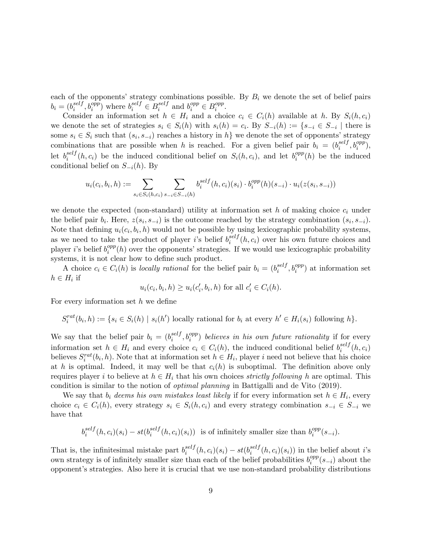each of the opponents' strategy combinations possible. By  $B_i$  we denote the set of belief pairs  $b_i = (b_i^{self}$  $i^{self}, b_i^{opp}$  where  $b_i^{self} \in B_i^{self}$  $i$ <sup>self</sup> and  $b_i^{opp} \in B_i^{opp}$  $\frac{opp}{i}$ .

Consider an information set  $h \in H_i$  and a choice  $c_i \in C_i(h)$  available at h. By  $S_i(h, c_i)$ we denote the set of strategies  $s_i \in S_i(h)$  with  $s_i(h) = c_i$ . By  $S_{-i}(h) := \{s_{-i} \in S_{-i} \mid \text{there is }$ some  $s_i \in S_i$  such that  $(s_i, s_{-i})$  reaches a history in  $h$  we denote the set of opponents' strategy combinations that are possible when h is reached. For a given belief pair  $b_i = (b_i^{self}$  $_i^{self}, b_i^{opp}),$ let  $b_i^{self}$  $i_i^{self}(h, c_i)$  be the induced conditional belief on  $S_i(h, c_i)$ , and let  $b_i^{opp}$  $i^{opp}(h)$  be the induced conditional belief on  $S_{-i}(h)$ . By

$$
u_i(c_i, b_i, h) := \sum_{s_i \in S_i(h, c_i)} \sum_{s_{-i} \in S_{-i}(h)} b_i^{self}(h, c_i)(s_i) \cdot b_i^{opp}(h)(s_{-i}) \cdot u_i(z(s_i, s_{-i}))
$$

we denote the expected (non-standard) utility at information set  $h$  of making choice  $c_i$  under the belief pair  $b_i$ . Here,  $z(s_i, s_{-i})$  is the outcome reached by the strategy combination  $(s_i, s_{-i})$ . Note that defining  $u_i(c_i, b_i, h)$  would not be possible by using lexicographic probability systems, as we need to take the product of player *i*'s belief  $b_i^{self}$  $i^{self}(h, c_i)$  over his own future choices and player *i*'s belief  $b_i^{opp}$  $i^{opp}(h)$  over the opponents' strategies. If we would use lexicographic probability systems, it is not clear how to define such product.

A choice  $c_i \in C_i(h)$  is locally rational for the belief pair  $b_i = (b_i^{self})$  $i^{self}, b_i^{opp}$  at information set  $h \in H_i$  if

$$
u_i(c_i, b_i, h) \ge u_i(c'_i, b_i, h) \text{ for all } c'_i \in C_i(h).
$$

For every information set  $h$  we define

 $S_i^{rat}(b_i, h) := \{ s_i \in S_i(h) \mid s_i(h') \text{ locally rational for } b_i \text{ at every } h' \in H_i(s_i) \text{ following } h \}.$ 

We say that the belief pair  $b_i = (b_i^{self})$  $\hat{f}_i^{self}, b_i^{opp}$ ) believes in his own future rationality if for every information set  $h \in H_i$  and every choice  $c_i \in C_i(h)$ , the induced conditional belief  $b_i^{self}$  $\binom{seij}{i}(h, c_i)$ believes  $S_i^{rat}(b_i, h)$ . Note that at information set  $h \in H_i$ , player i need not believe that his choice at h is optimal. Indeed, it may well be that  $c<sub>i</sub>(h)$  is suboptimal. The definition above only requires player i to believe at  $h \in H_i$  that his own choices *strictly following* h are optimal. This condition is similar to the notion of optimal planning in Battigalli and de Vito (2019).

We say that  $b_i$  deems his own mistakes least likely if for every information set  $h \in H_i$ , every choice  $c_i \in C_i(h)$ , every strategy  $s_i \in S_i(h, c_i)$  and every strategy combination  $s_{-i} \in S_{-i}$  we have that

$$
b_i^{self}(h, c_i)(s_i) - st(b_i^{self}(h, c_i)(s_i))
$$
 is of infinitely smaller size than  $b_i^{opp}(s_{-i})$ .

That is, the infinitesimal mistake part  $b_i^{self}$  $\int_i^{self}(h, c_i)(s_i) - st(b_i^{self})$  $e^{set}$  $(h, c_i)(s_i)$  in the belief about *i*'s own strategy is of infinitely smaller size than each of the belief probabilities  $b_i^{opp}$  $i^{opp}(s_{-i})$  about the opponent's strategies. Also here it is crucial that we use non-standard probability distributions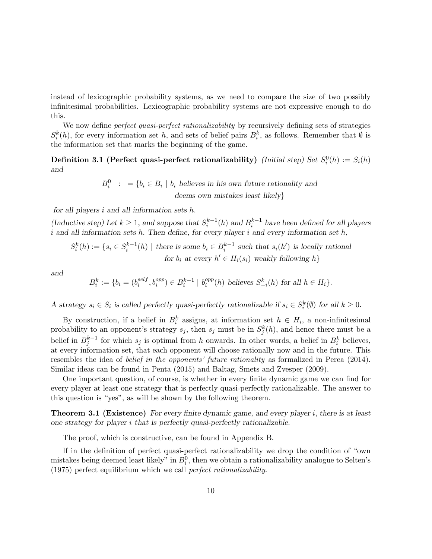instead of lexicographic probability systems, as we need to compare the size of two possibly infinitesimal probabilities. Lexicographic probability systems are not expressive enough to do this.

We now define *perfect quasi-perfect rationalizability* by recursively defining sets of strategies  $S_i^k(h)$ , for every information set h, and sets of belief pairs  $B_i^k$ , as follows. Remember that  $\emptyset$  is the information set that marks the beginning of the game.

Definition 3.1 (Perfect quasi-perfect rationalizability) (Initial step) Set  $S_i^0(h) := S_i(h)$ and

$$
B_i^0 : = \{b_i \in B_i \mid b_i \text{ believes in his own future rationality and}
$$
  
deems own mistakes least likely}

for all players  $i$  and all information sets  $h$ .

(Inductive step) Let  $k \geq 1$ , and suppose that  $S_i^{k-1}(h)$  and  $B_i^{k-1}$  have been defined for all players  $i$  and all information sets  $h$ . Then define, for every player  $i$  and every information set  $h$ ,

 $S_i^k(h) := \{ s_i \in S_i^{k-1}(h) \mid \text{there is some } b_i \in B_i^{k-1} \text{ such that } s_i(h') \text{ is locally rational} \}$ for  $b_i$  at every  $h' \in H_i(s_i)$  weakly following  $h$ }

and

$$
B_i^k := \{ b_i = (b_i^{self}, b_i^{opp}) \in B_i^{k-1} \mid b_i^{opp}(h) \text{ believes } S_{-i}^k(h) \text{ for all } h \in H_i \}.
$$

A strategy  $s_i \in S_i$  is called perfectly quasi-perfectly rationalizable if  $s_i \in S_i^k(\emptyset)$  for all  $k \geq 0$ .

By construction, if a belief in  $B_i^k$  assigns, at information set  $h \in H_i$ , a non-infinitesimal probability to an opponent's strategy  $s_j$ , then  $s_j$  must be in  $S_j^k(h)$ , and hence there must be a belief in  $B_j^{k-1}$  for which  $s_j$  is optimal from h onwards. In other words, a belief in  $B_i^k$  believes, at every information set, that each opponent will choose rationally now and in the future. This resembles the idea of *belief in the opponents' future rationality* as formalized in Perea (2014). Similar ideas can be found in Penta (2015) and Baltag, Smets and Zvesper (2009).

One important question, of course, is whether in every finite dynamic game we can find for every player at least one strategy that is perfectly quasi-perfectly rationalizable. The answer to this question is "yes", as will be shown by the following theorem.

**Theorem 3.1 (Existence)** For every finite dynamic game, and every player i, there is at least one strategy for player i that is perfectly quasi-perfectly rationalizable.

The proof, which is constructive, can be found in Appendix B.

If in the definition of perfect quasi-perfect rationalizability we drop the condition of "own" mistakes being deemed least likely" in  $B_i^0$ , then we obtain a rationalizability analogue to Selten's (1975) perfect equilibrium which we call perfect rationalizability.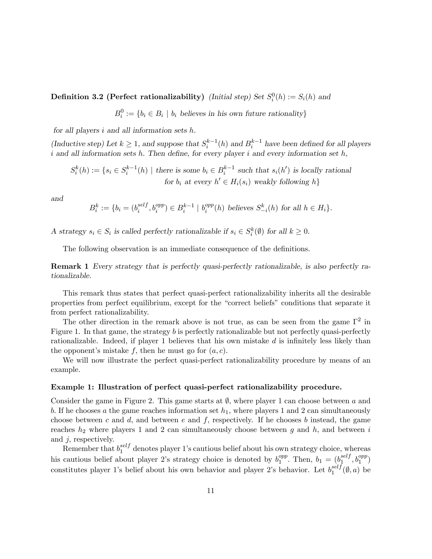Definition 3.2 (Perfect rationalizability) (Initial step) Set  $S_i^0(h) := S_i(h)$  and

 $B_i^0 := \{b_i \in B_i \mid b_i \text{ believes in his own future rationality}\}\$ 

for all players  $i$  and all information sets  $h$ .

(Inductive step) Let  $k \geq 1$ , and suppose that  $S_i^{k-1}(h)$  and  $B_i^{k-1}$  have been defined for all players i and all information sets h. Then define, for every player i and every information set  $h$ ,

 $S_i^k(h) := \{ s_i \in S_i^{k-1}(h) \mid \text{there is some } b_i \in B_i^{k-1} \text{ such that } s_i(h') \text{ is locally rational} \}$ for  $b_i$  at every  $h' \in H_i(s_i)$  weakly following  $h$ }

and

$$
B_i^k := \{ b_i = (b_i^{self}, b_i^{opp}) \in B_i^{k-1} \mid b_i^{opp}(h) \text{ believes } S_{-i}^k(h) \text{ for all } h \in H_i \}.
$$

A strategy  $s_i \in S_i$  is called perfectly rationalizable if  $s_i \in S_i^k(\emptyset)$  for all  $k \geq 0$ .

The following observation is an immediate consequence of the definitions.

Remark 1 Every strategy that is perfectly quasi-perfectly rationalizable, is also perfectly rationalizable.

This remark thus states that perfect quasi-perfect rationalizability inherits all the desirable properties from perfect equilibrium, except for the "correct beliefs" conditions that separate it from perfect rationalizability.

The other direction in the remark above is not true, as can be seen from the game  $\Gamma^2$  in Figure 1. In that game, the strategy b is perfectly rationalizable but not perfectly quasi-perfectly rationalizable. Indeed, if player 1 believes that his own mistake  $d$  is infinitely less likely than the opponent's mistake f, then he must go for  $(a, c)$ .

We will now illustrate the perfect quasi-perfect rationalizability procedure by means of an example.

#### Example 1: Illustration of perfect quasi-perfect rationalizability procedure.

Consider the game in Figure 2. This game starts at  $\emptyset$ , where player 1 can choose between a and b. If he chooses a the game reaches information set  $h_1$ , where players 1 and 2 can simultaneously choose between c and d, and between e and f, respectively. If he chooses b instead, the game reaches  $h_2$  where players 1 and 2 can simultaneously choose between g and h, and between i and j; respectively.

Remember that  $b_1^{self}$ <sup>set</sup> denotes player 1's cautious belief about his own strategy choice, whereas his cautious belief about player 2's strategy choice is denoted by  $b_1^{opp}$  $_1^{opp}$ . Then,  $b_1 = (b_1^{self})$  $\frac{self}{1}, b_1^{opp})$ constitutes player 1's belief about his own behavior and player 2's behavior. Let  $b_1^{self}$  $i_1^{set}(\emptyset, a)$  be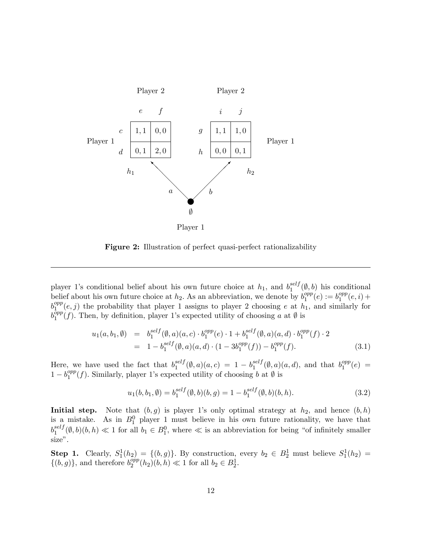

Figure 2: Illustration of perfect quasi-perfect rationalizability

player 1's conditional belief about his own future choice at  $h_1$ , and  $b_1^{self}$  $\int_{1}^{set} (\emptyset, b)$  his conditional belief about his own future choice at  $h_2$ . As an abbreviation, we denote by  $b_1^{opp}$  $\binom{opp}{1}(e):=b_1^{opp}$  $_1^{opp}(e, i) +$  $b_1^{opp}$  $1 \n\frac{\text{opp}}{1}(e, j)$  the probability that player 1 assigns to player 2 choosing e at  $h_1$ , and similarly for  $b_1^{\bar opp}$  $1^{\text{opp}}(f)$ . Then, by definition, player 1's expected utility of choosing a at  $\emptyset$  is

$$
u_1(a, b_1, \emptyset) = b_1^{self}(\emptyset, a)(a, c) \cdot b_1^{opp}(e) \cdot 1 + b_1^{self}(\emptyset, a)(a, d) \cdot b_1^{opp}(f) \cdot 2
$$
  
= 1 - b\_1^{self}(\emptyset, a)(a, d) \cdot (1 - 3b\_1^{opp}(f)) - b\_1^{opp}(f). (3.1)

Here, we have used the fact that  $b_1^{self}$  $\int_{1}^{self}(\emptyset, a)(a, c) = 1 - b_1^{self}$  $i_1^{self}(\emptyset, a)(a, d)$ , and that  $b_1^{opp}$  $_1^{opp}(e) =$  $1 - b_1^{opp}$  $1<sup>opp</sup>(f)$ . Similarly, player 1's expected utility of choosing b at  $\emptyset$  is

$$
u_1(b, b_1, \emptyset) = b_1^{self}(\emptyset, b)(b, g) = 1 - b_1^{self}(\emptyset, b)(b, h).
$$
 (3.2)

Initial step. Note that  $(b, g)$  is player 1's only optimal strategy at  $h_2$ , and hence  $(b, h)$ is a mistake. As in  $B_1^0$  player 1 must believe in his own future rationality, we have that  $b_1^{self}$  $\sum_{1}^{self}(\emptyset, b)(b, h) \ll 1$  for all  $b_1 \in B_1^0$ , where  $\ll$  is an abbreviation for being "of infinitely smaller size".

Step 1. Clearly,  $S_1^1(h_2) = \{(b,g)\}\$ . By construction, every  $b_2 \in B_2^1$  must believe  $S_1^1(h_2) =$  $\{(b,g)\}\text{, and therefore } b_2^{opp}$  $_{2}^{opp}(h_{2})(b, h) \ll 1$  for all  $b_{2} \in B_{2}^{1}$ .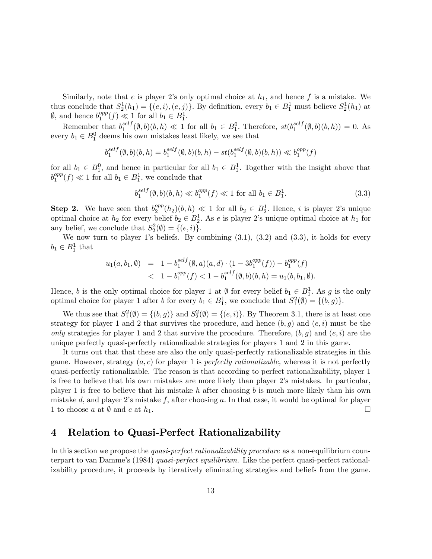Similarly, note that e is player 2's only optimal choice at  $h_1$ , and hence f is a mistake. We thus conclude that  $S_2^1(h_1) = \{(e, i), (e, j)\}\.$  By definition, every  $b_1 \in B_1^1$  must believe  $S_2^1(h_1)$  at  $\emptyset$ , and hence  $b_1^{opp}$  $_1^{opp}(f) \ll 1$  for all  $b_1 \in B_1^1$ .

Remember that  $b_1^{self}$  $\mathcal{L}_1^{self}(\emptyset, b)(b, h) \ll 1$  for all  $b_1 \in B_1^0$ . Therefore,  $st(b_1^{self})$  $_1^{seij}(\emptyset, b)(b, h)) = 0.$  As every  $b_1 \in B_1^0$  deems his own mistakes least likely, we see that

$$
b_1^{self}(\emptyset, b)(b, h) = b_1^{self}(\emptyset, b)(b, h) - st(b_1^{self}(\emptyset, b)(b, h)) \ll b_1^{opp}(f)
$$

for all  $b_1 \in B_1^0$ , and hence in particular for all  $b_1 \in B_1^1$ . Together with the insight above that  $b_1^{opp}$  $_1^{opp}(f) \ll 1$  for all  $b_1 \in B_1^1$ , we conclude that

$$
b_1^{self}(\emptyset, b)(b, h) \ll b_1^{opp}(f) \ll 1 \text{ for all } b_1 \in B_1^1. \tag{3.3}
$$

**Step 2.** We have seen that  $b_2^{opp}$  $\frac{opp}{2}(h_2)(b,h) \ll 1$  for all  $b_2 \in B_2^1$ . Hence, i is player 2's unique optimal choice at  $h_2$  for every belief  $b_2 \in B_2^1$ . As e is player 2's unique optimal choice at  $h_1$  for any belief, we conclude that  $S_2^2(\emptyset) = \{(e, i)\}.$ 

We now turn to player 1's beliefs. By combining  $(3.1)$ ,  $(3.2)$  and  $(3.3)$ , it holds for every  $b_1 \in B_1^1$  that

$$
u_1(a, b_1, \emptyset) = 1 - b_1^{self}(\emptyset, a)(a, d) \cdot (1 - 3b_1^{opp}(f)) - b_1^{opp}(f)
$$
  
< 1 - b\_1^{opp}(f) < 1 - b\_1^{self}(\emptyset, b)(b, h) = u\_1(b, b\_1, \emptyset).

Hence, b is the only optimal choice for player 1 at  $\emptyset$  for every belief  $b_1 \in B_1^1$ . As g is the only optimal choice for player 1 after b for every  $b_1 \in B_1^1$ , we conclude that  $S_1^2(\emptyset) = \{(b,g)\}.$ 

We thus see that  $S_1^2(\emptyset) = \{(b, g)\}\$  and  $S_2^2(\emptyset) = \{(e, i)\}\$ . By Theorem 3.1, there is at least one strategy for player 1 and 2 that survives the procedure, and hence  $(b, g)$  and  $(e, i)$  must be the only strategies for player 1 and 2 that survive the procedure. Therefore,  $(b, g)$  and  $(e, i)$  are the unique perfectly quasi-perfectly rationalizable strategies for players 1 and 2 in this game.

It turns out that that these are also the only quasi-perfectly rationalizable strategies in this game. However, strategy  $(a, c)$  for player 1 is *perfectly rationalizable*, whereas it is not perfectly quasi-perfectly rationalizable. The reason is that according to perfect rationalizability, player 1 is free to believe that his own mistakes are more likely than player 2ís mistakes. In particular, player 1 is free to believe that his mistake h after choosing b is much more likely than his own mistake d, and player 2's mistake f, after choosing  $a$ . In that case, it would be optimal for player 1 to choose a at  $\emptyset$  and c at  $h_1$ .

### 4 Relation to Quasi-Perfect Rationalizability

In this section we propose the *quasi-perfect rationalizability procedure* as a non-equilibrium counterpart to van Damme's  $(1984)$  quasi-perfect equilibrium. Like the perfect quasi-perfect rationalizability procedure, it proceeds by iteratively eliminating strategies and beliefs from the game.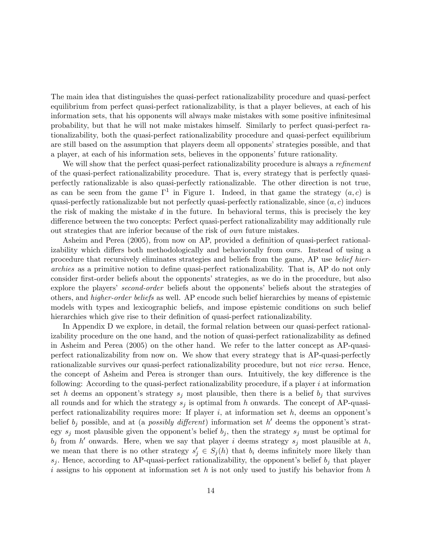The main idea that distinguishes the quasi-perfect rationalizability procedure and quasi-perfect equilibrium from perfect quasi-perfect rationalizability, is that a player believes, at each of his information sets, that his opponents will always make mistakes with some positive infinitesimal probability, but that he will not make mistakes himself. Similarly to perfect quasi-perfect rationalizability, both the quasi-perfect rationalizability procedure and quasi-perfect equilibrium are still based on the assumption that players deem all opponents' strategies possible, and that a player, at each of his information sets, believes in the opponents' future rationality.

We will show that the perfect quasi-perfect rationalizability procedure is always a refinement of the quasi-perfect rationalizability procedure. That is, every strategy that is perfectly quasiperfectly rationalizable is also quasi-perfectly rationalizable. The other direction is not true, as can be seen from the game  $\Gamma^1$  in Figure 1. Indeed, in that game the strategy  $(a, c)$  is quasi-perfectly rationalizable but not perfectly quasi-perfectly rationalizable, since  $(a, c)$  induces the risk of making the mistake  $d$  in the future. In behavioral terms, this is precisely the key difference between the two concepts: Perfect quasi-perfect rationalizability may additionally rule out strategies that are inferior because of the risk of own future mistakes.

Asheim and Perea (2005), from now on AP, provided a definition of quasi-perfect rationalizability which differs both methodologically and behaviorally from ours. Instead of using a procedure that recursively eliminates strategies and beliefs from the game, AP use belief hierarchies as a primitive notion to define quasi-perfect rationalizability. That is, AP do not only consider first-order beliefs about the opponents' strategies, as we do in the procedure, but also explore the players' second-order beliefs about the opponents' beliefs about the strategies of others, and higher-order beliefs as well. AP encode such belief hierarchies by means of epistemic models with types and lexicographic beliefs, and impose epistemic conditions on such belief hierarchies which give rise to their definition of quasi-perfect rationalizability.

In Appendix D we explore, in detail, the formal relation between our quasi-perfect rationalizability procedure on the one hand, and the notion of quasi-perfect rationalizability as defined in Asheim and Perea (2005) on the other hand. We refer to the latter concept as AP-quasiperfect rationalizability from now on. We show that every strategy that is AP-quasi-perfectly rationalizable survives our quasi-perfect rationalizability procedure, but not vice versa. Hence, the concept of Asheim and Perea is stronger than ours. Intuitively, the key difference is the following: According to the quasi-perfect rationalizability procedure, if a player  $i$  at information set h deems an opponent's strategy  $s_j$  most plausible, then there is a belief  $b_j$  that survives all rounds and for which the strategy  $s_j$  is optimal from h onwards. The concept of AP-quasiperfect rationalizability requires more: If player  $i$ , at information set  $h$ , deems an opponent's belief  $b_j$  possible, and at (a *possibly different*) information set h' deems the opponent's strategy  $s_j$  most plausible given the opponent's belief  $b_j$ , then the strategy  $s_j$  must be optimal for  $b_j$  from h' onwards. Here, when we say that player i deems strategy  $s_j$  most plausible at h, we mean that there is no other strategy  $s'_j \in S_j(h)$  that  $b_i$  deems infinitely more likely than  $s_j$ . Hence, according to AP-quasi-perfect rationalizability, the opponent's belief  $b_j$  that player i assigns to his opponent at information set h is not only used to justify his behavior from  $h$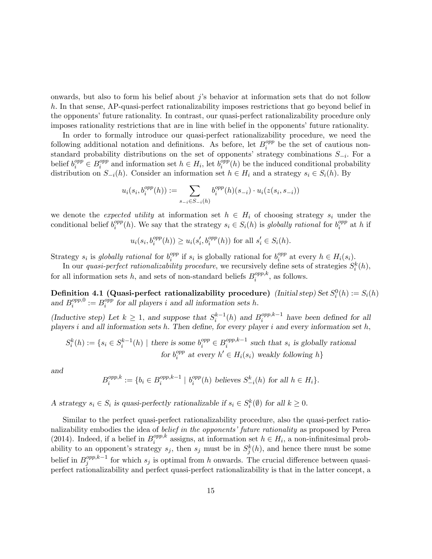onwards, but also to form his belief about  $j$ 's behavior at information sets that do not follow h. In that sense, AP-quasi-perfect rationalizability imposes restrictions that go beyond belief in the opponents' future rationality. In contrast, our quasi-perfect rationalizability procedure only imposes rationality restrictions that are in line with belief in the opponents' future rationality.

In order to formally introduce our quasi-perfect rationalizability procedure, we need the following additional notation and definitions. As before, let  $B_i^{opp}$  $i^{opp}_{i}$  be the set of cautious nonstandard probability distributions on the set of opponents' strategy combinations  $S_{-i}$ . For a belief  $b_i^{opp} \in B_i^{opp}$ <sup>opp</sup> and information set  $h \in H_i$ , let  $b_i^{opp}$  $e_i^{opp}(h)$  be the induced conditional probability distribution on  $S_{-i}(h)$ . Consider an information set  $h \in H_i$  and a strategy  $s_i \in S_i(h)$ . By

$$
u_i(s_i, b_i^{opp}(h)) := \sum_{s_{-i} \in S_{-i}(h)} b_i^{opp}(h)(s_{-i}) \cdot u_i(z(s_i, s_{-i}))
$$

we denote the *expected utility* at information set  $h \in H_i$  of choosing strategy  $s_i$  under the conditional belief  $b_i^{opp}$  $e_i^{opp}(h)$ . We say that the strategy  $s_i \in S_i(h)$  is globally rational for  $b_i^{opp}$  $i^{opp}$  at h if

$$
u_i(s_i, b_i^{opp}(h)) \ge u_i(s'_i, b_i^{opp}(h))
$$
 for all  $s'_i \in S_i(h)$ .

Strategy  $s_i$  is globally rational for  $b_i^{opp}$  $i^{opp}$  if  $s_i$  is globally rational for  $b_i^{opp}$  $e^{opp}_{i}$  at every  $h \in H_i(s_i)$ .

In our *quasi-perfect rationalizability procedure*, we recursively define sets of strategies  $S_i^k(h)$ , for all information sets h, and sets of non-standard beliefs  $B_i^{opp,k}$  $i^{opp,\kappa}$ , as follows.

Definition 4.1 (Quasi-perfect rationalizability procedure) (Initial step) Set  $S_i^0(h) := S_i(h)$ and  $B_i^{opp,0}$  $i^{opp,0} := B_i^{opp}$  $i<sub>i</sub><sup>opp</sup>$  for all players i and all information sets h.

(Inductive step) Let  $k \geq 1$ , and suppose that  $S_i^{k-1}(h)$  and  $B_i^{opp,k-1}$  have been defined for all players i and all information sets h. Then define, for every player i and every information set h,

$$
S_i^k(h) := \{ s_i \in S_i^{k-1}(h) \mid \text{there is some } b_i^{opp} \in B_i^{opp,k-1} \text{ such that } s_i \text{ is globally rational} \}
$$
  
for  $b_i^{opp} \text{ at every } h' \in H_i(s_i) \text{ weakly following } h \}$ 

and

$$
B_i^{opp,k} := \{ b_i \in B_i^{opp,k-1} \mid b_i^{opp}(h) \text{ believes } S_{-i}^k(h) \text{ for all } h \in H_i \}.
$$

A strategy  $s_i \in S_i$  is quasi-perfectly rationalizable if  $s_i \in S_i^k(\emptyset)$  for all  $k \geq 0$ .

Similar to the perfect quasi-perfect rationalizability procedure, also the quasi-perfect rationalizability embodies the idea of belief in the opponents' future rationality as proposed by Perea (2014). Indeed, if a belief in  $B_i^{opp,k}$  $e^{opp,\kappa}$  assigns, at information set  $h \in H_i$ , a non-infinitesimal probability to an opponent's strategy  $s_j$ , then  $s_j$  must be in  $S_j^k(h)$ , and hence there must be some belief in  $B_j^{opp,k-1}$  for which  $s_j$  is optimal from h onwards. The crucial difference between quasiperfect rationalizability and perfect quasi-perfect rationalizability is that in the latter concept, a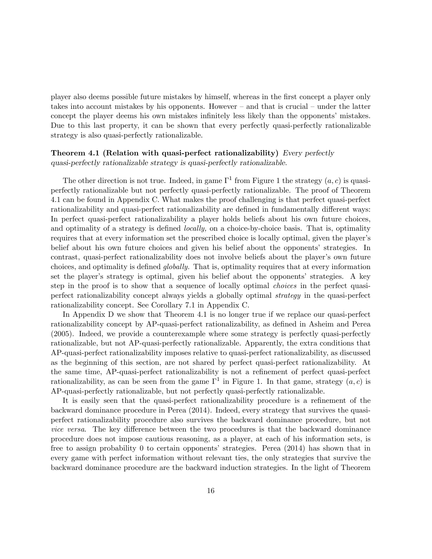player also deems possible future mistakes by himself, whereas in the first concept a player only takes into account mistakes by his opponents. However  $-$  and that is crucial  $-$  under the latter concept the player deems his own mistakes infinitely less likely than the opponents' mistakes. Due to this last property, it can be shown that every perfectly quasi-perfectly rationalizable strategy is also quasi-perfectly rationalizable.

### Theorem 4.1 (Relation with quasi-perfect rationalizability) Every perfectly quasi-perfectly rationalizable strategy is quasi-perfectly rationalizable.

The other direction is not true. Indeed, in game  $\Gamma^1$  from Figure 1 the strategy  $(a, c)$  is quasiperfectly rationalizable but not perfectly quasi-perfectly rationalizable. The proof of Theorem 4.1 can be found in Appendix C. What makes the proof challenging is that perfect quasi-perfect rationalizability and quasi-perfect rationalizability are defined in fundamentally different ways: In perfect quasi-perfect rationalizability a player holds beliefs about his own future choices, and optimality of a strategy is defined *locally*, on a choice-by-choice basis. That is, optimality requires that at every information set the prescribed choice is locally optimal, given the player's belief about his own future choices and given his belief about the opponents' strategies. In contrast, quasi-perfect rationalizability does not involve beliefs about the player's own future choices, and optimality is defined *globally*. That is, optimality requires that at every information set the player's strategy is optimal, given his belief about the opponents' strategies. A key step in the proof is to show that a sequence of locally optimal *choices* in the perfect quasiperfect rationalizability concept always yields a globally optimal strategy in the quasi-perfect rationalizability concept. See Corollary 7.1 in Appendix C.

In Appendix D we show that Theorem 4.1 is no longer true if we replace our quasi-perfect rationalizability concept by AP-quasi-perfect rationalizability, as defined in Asheim and Perea (2005). Indeed, we provide a counterexample where some strategy is perfectly quasi-perfectly rationalizable, but not AP-quasi-perfectly rationalizable. Apparently, the extra conditions that AP-quasi-perfect rationalizability imposes relative to quasi-perfect rationalizability, as discussed as the beginning of this section, are not shared by perfect quasi-perfect rationalizability. At the same time, AP-quasi-perfect rationalizability is not a refinement of perfect quasi-perfect rationalizability, as can be seen from the game  $\Gamma^1$  in Figure 1. In that game, strategy  $(a, c)$  is AP-quasi-perfectly rationalizable, but not perfectly quasi-perfectly rationalizable.

It is easily seen that the quasi-perfect rationalizability procedure is a refinement of the backward dominance procedure in Perea (2014). Indeed, every strategy that survives the quasiperfect rationalizability procedure also survives the backward dominance procedure, but not *vice versa*. The key difference between the two procedures is that the backward dominance procedure does not impose cautious reasoning, as a player, at each of his information sets, is free to assign probability 0 to certain opponents' strategies. Perea  $(2014)$  has shown that in every game with perfect information without relevant ties, the only strategies that survive the backward dominance procedure are the backward induction strategies. In the light of Theorem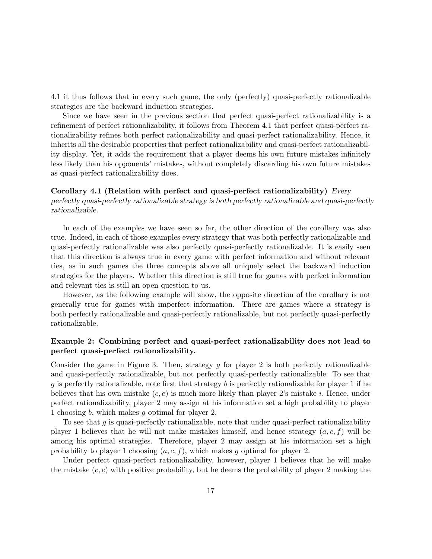4.1 it thus follows that in every such game, the only (perfectly) quasi-perfectly rationalizable strategies are the backward induction strategies.

Since we have seen in the previous section that perfect quasi-perfect rationalizability is a refinement of perfect rationalizability, it follows from Theorem 4.1 that perfect quasi-perfect rationalizability refines both perfect rationalizability and quasi-perfect rationalizability. Hence, it inherits all the desirable properties that perfect rationalizability and quasi-perfect rationalizability display. Yet, it adds the requirement that a player deems his own future mistakes infinitely less likely than his opponents' mistakes, without completely discarding his own future mistakes as quasi-perfect rationalizability does.

### Corollary 4.1 (Relation with perfect and quasi-perfect rationalizability) Every perfectly quasi-perfectly rationalizable strategy is both perfectly rationalizable and quasi-perfectly rationalizable.

In each of the examples we have seen so far, the other direction of the corollary was also true. Indeed, in each of those examples every strategy that was both perfectly rationalizable and quasi-perfectly rationalizable was also perfectly quasi-perfectly rationalizable. It is easily seen that this direction is always true in every game with perfect information and without relevant ties, as in such games the three concepts above all uniquely select the backward induction strategies for the players. Whether this direction is still true for games with perfect information and relevant ties is still an open question to us.

However, as the following example will show, the opposite direction of the corollary is not generally true for games with imperfect information. There are games where a strategy is both perfectly rationalizable and quasi-perfectly rationalizable, but not perfectly quasi-perfectly rationalizable.

### Example 2: Combining perfect and quasi-perfect rationalizability does not lead to perfect quasi-perfect rationalizability.

Consider the game in Figure 3. Then, strategy g for player 2 is both perfectly rationalizable and quasi-perfectly rationalizable, but not perfectly quasi-perfectly rationalizable. To see that g is perfectly rationalizable, note first that strategy b is perfectly rationalizable for player 1 if he believes that his own mistake  $(c, e)$  is much more likely than player 2's mistake i. Hence, under perfect rationalizability, player 2 may assign at his information set a high probability to player 1 choosing b; which makes g optimal for player 2.

To see that  $g$  is quasi-perfectly rationalizable, note that under quasi-perfect rationalizability player 1 believes that he will not make mistakes himself, and hence strategy  $(a, c, f)$  will be among his optimal strategies. Therefore, player 2 may assign at his information set a high probability to player 1 choosing  $(a, c, f)$ , which makes g optimal for player 2.

Under perfect quasi-perfect rationalizability, however, player 1 believes that he will make the mistake  $(c, e)$  with positive probability, but he deems the probability of player 2 making the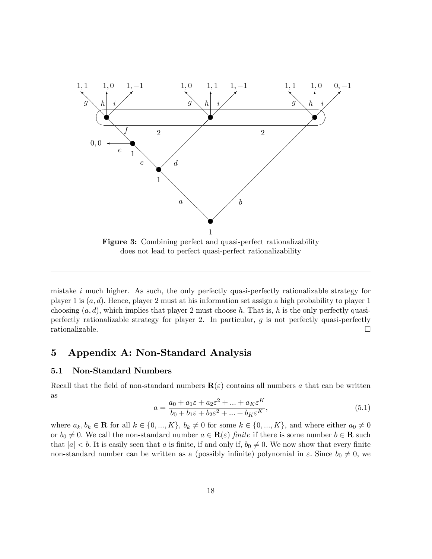

does not lead to perfect quasi-perfect rationalizability

mistake  $i$  much higher. As such, the only perfectly quasi-perfectly rationalizable strategy for player 1 is  $(a, d)$ . Hence, player 2 must at his information set assign a high probability to player 1 choosing  $(a, d)$ , which implies that player 2 must choose h. That is, h is the only perfectly quasiperfectly rationalizable strategy for player 2. In particular,  $g$  is not perfectly quasi-perfectly rationalizable.  $\Box$ 

### 5 Appendix A: Non-Standard Analysis

### 5.1 Non-Standard Numbers

Recall that the field of non-standard numbers  $\mathbf{R}(\varepsilon)$  contains all numbers a that can be written as  $\overline{\nu}$ 

$$
a = \frac{a_0 + a_1 \varepsilon + a_2 \varepsilon^2 + \dots + a_K \varepsilon^K}{b_0 + b_1 \varepsilon + b_2 \varepsilon^2 + \dots + b_K \varepsilon^K},
$$
\n
$$
(5.1)
$$

where  $a_k, b_k \in \mathbf{R}$  for all  $k \in \{0, ..., K\}$ ,  $b_k \neq 0$  for some  $k \in \{0, ..., K\}$ , and where either  $a_0 \neq 0$ or  $b_0 \neq 0$ . We call the non-standard number  $a \in \mathbf{R}(\varepsilon)$  finite if there is some number  $b \in \mathbf{R}$  such that  $|a| < b$ . It is easily seen that a is finite, if and only if,  $b_0 \neq 0$ . We now show that every finite non-standard number can be written as a (possibly infinite) polynomial in  $\varepsilon$ . Since  $b_0 \neq 0$ , we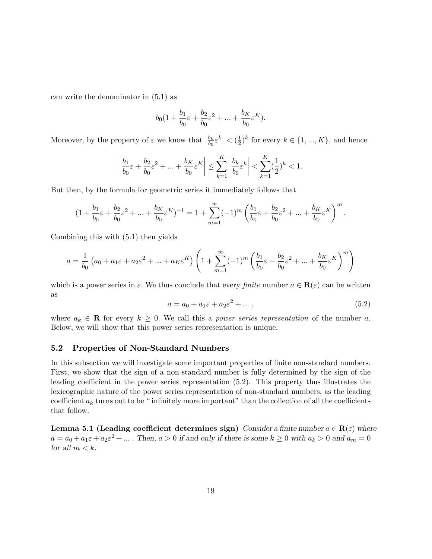can write the denominator in (5.1) as

$$
b_0(1+\frac{b_1}{b_0}\varepsilon+\frac{b_2}{b_0}\varepsilon^2+\ldots+\frac{b_K}{b_0}\varepsilon^K).
$$

Moreover, by the property of  $\varepsilon$  we know that  $\left|\frac{b_k}{b_0}\right|$  $\frac{b_k}{b_0} \varepsilon^k \vert < (\frac{1}{2})$  $(\frac{1}{2})^k$  for every  $k \in \{1, ..., K\}$ , and hence

$$
\left|\frac{b_1}{b_0}\varepsilon + \frac{b_2}{b_0}\varepsilon^2 + \ldots + \frac{b_K}{b_0}\varepsilon^K\right| \leq \sum_{k=1}^K \left|\frac{b_k}{b_0}\varepsilon^k\right| < \sum_{k=1}^K (\frac{1}{2})^k < 1.
$$

But then, by the formula for geometric series it immediately follows that

$$
(1+\frac{b_1}{b_0}\varepsilon+\frac{b_2}{b_0}\varepsilon^2+\ldots+\frac{b_K}{b_0}\varepsilon^K)^{-1}=1+\sum_{m=1}^\infty (-1)^m\left(\frac{b_1}{b_0}\varepsilon+\frac{b_2}{b_0}\varepsilon^2+\ldots+\frac{b_K}{b_0}\varepsilon^K\right)^m.
$$

Combining this with (5.1) then yields

$$
a = \frac{1}{b_0} \left( a_0 + a_1 \varepsilon + a_2 \varepsilon^2 + \dots + a_K \varepsilon^K \right) \left( 1 + \sum_{m=1}^{\infty} (-1)^m \left( \frac{b_1}{b_0} \varepsilon + \frac{b_2}{b_0} \varepsilon^2 + \dots + \frac{b_K}{b_0} \varepsilon^K \right)^m \right)
$$

which is a power series in  $\varepsilon$ . We thus conclude that every finite number  $a \in \mathbf{R}(\varepsilon)$  can be written as

$$
a = a_0 + a_1 \varepsilon + a_2 \varepsilon^2 + \dots \,, \tag{5.2}
$$

where  $a_k \in \mathbf{R}$  for every  $k \geq 0$ . We call this a *power series representation* of the number a. Below, we will show that this power series representation is unique.

#### 5.2 Properties of Non-Standard Numbers

In this subsection we will investigate some important properties of finite non-standard numbers. First, we show that the sign of a non-standard number is fully determined by the sign of the leading coefficient in the power series representation  $(5.2)$ . This property thus illustrates the lexicographic nature of the power series representation of non-standard numbers, as the leading coefficient  $a_k$  turns out to be "infinitely more important" than the collection of all the coefficients that follow.

Lemma 5.1 (Leading coefficient determines sign) Consider a finite number  $a \in \mathbf{R}(\varepsilon)$  where  $a = a_0 + a_1 \varepsilon + a_2 \varepsilon^2 + \dots$ . Then,  $a > 0$  if and only if there is some  $k \ge 0$  with  $a_k > 0$  and  $a_m = 0$ for all  $m < k$ .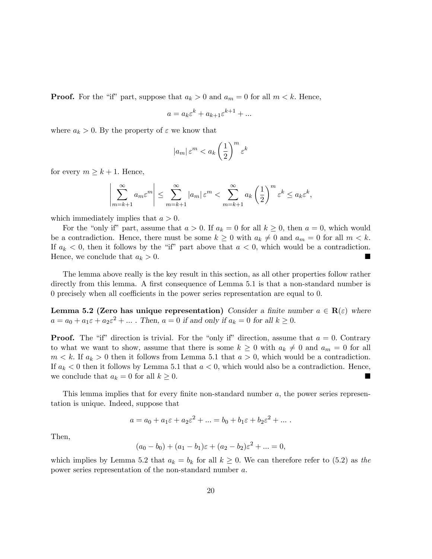**Proof.** For the "if" part, suppose that  $a_k > 0$  and  $a_m = 0$  for all  $m < k$ . Hence,

$$
a = a_k \varepsilon^k + a_{k+1} \varepsilon^{k+1} + \dots
$$

where  $a_k > 0$ . By the property of  $\varepsilon$  we know that

$$
|a_m| \, \varepsilon^m < a_k \left(\frac{1}{2}\right)^m \varepsilon^k
$$

for every  $m \geq k + 1$ . Hence,

$$
\left|\sum_{m=k+1}^{\infty} a_m \varepsilon^m \right| \leq \sum_{m=k+1}^{\infty} |a_m| \varepsilon^m < \sum_{m=k+1}^{\infty} a_k \left(\frac{1}{2}\right)^m \varepsilon^k \leq a_k \varepsilon^k,
$$

which immediately implies that  $a > 0$ .

For the "only if" part, assume that  $a > 0$ . If  $a_k = 0$  for all  $k \ge 0$ , then  $a = 0$ , which would be a contradiction. Hence, there must be some  $k \geq 0$  with  $a_k \neq 0$  and  $a_m = 0$  for all  $m < k$ . If  $a_k < 0$ , then it follows by the "if" part above that  $a < 0$ , which would be a contradiction. Hence, we conclude that  $a_k > 0$ .

The lemma above really is the key result in this section, as all other properties follow rather directly from this lemma. A first consequence of Lemma 5.1 is that a non-standard number is  $0$  precisely when all coefficients in the power series representation are equal to  $0$ .

Lemma 5.2 (Zero has unique representation) Consider a finite number  $a \in \mathbf{R}(\varepsilon)$  where  $a = a_0 + a_1 \varepsilon + a_2 \varepsilon^2 + \dots$ . Then,  $a = 0$  if and only if  $a_k = 0$  for all  $k \ge 0$ .

**Proof.** The "if" direction is trivial. For the "only if" direction, assume that  $a = 0$ . Contrary to what we want to show, assume that there is some  $k \geq 0$  with  $a_k \neq 0$  and  $a_m = 0$  for all  $m < k$ . If  $a_k > 0$  then it follows from Lemma 5.1 that  $a > 0$ , which would be a contradiction. If  $a_k < 0$  then it follows by Lemma 5.1 that  $a < 0$ , which would also be a contradiction. Hence, we conclude that  $a_k = 0$  for all  $k \geq 0$ .

This lemma implies that for every finite non-standard number  $a$ , the power series representation is unique. Indeed, suppose that

$$
a = a_0 + a_1 \varepsilon + a_2 \varepsilon^2 + \dots = b_0 + b_1 \varepsilon + b_2 \varepsilon^2 + \dots
$$

Then,

$$
(a_0 - b_0) + (a_1 - b_1)\varepsilon + (a_2 - b_2)\varepsilon^2 + \dots = 0,
$$

which implies by Lemma 5.2 that  $a_k = b_k$  for all  $k \geq 0$ . We can therefore refer to (5.2) as the power series representation of the non-standard number a: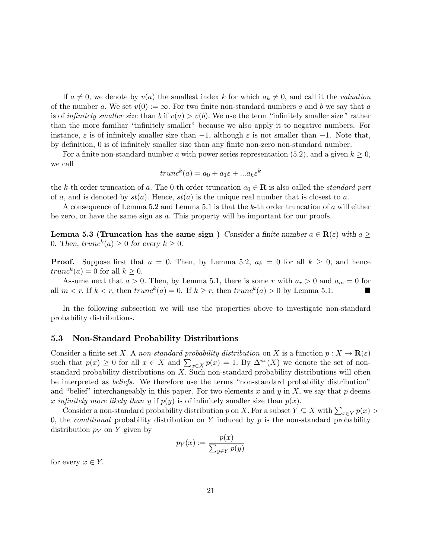If  $a \neq 0$ , we denote by  $v(a)$  the smallest index k for which  $a_k \neq 0$ , and call it the *valuation* of the number a. We set  $v(0) := \infty$ . For two finite non-standard numbers a and b we say that a is of infinitely smaller size than b if  $v(a) > v(b)$ . We use the term "infinitely smaller size" rather than the more familiar "infinitely smaller" because we also apply it to negative numbers. For instance,  $\varepsilon$  is of infinitely smaller size than  $-1$ , although  $\varepsilon$  is not smaller than  $-1$ . Note that, by definition, 0 is of infinitely smaller size than any finite non-zero non-standard number.

For a finite non-standard number a with power series representation (5.2), and a given  $k \geq 0$ , we call

$$
trunc^k(a) = a_0 + a_1\varepsilon + \dots a_k\varepsilon^k
$$

the k-th order truncation of a. The 0-th order truncation  $a_0 \in \mathbf{R}$  is also called the *standard part* of a, and is denoted by  $st(a)$ . Hence,  $st(a)$  is the unique real number that is closest to a.

A consequence of Lemma 5.2 and Lemma 5.1 is that the k-th order truncation of a will either be zero, or have the same sign as a: This property will be important for our proofs.

**Lemma 5.3 (Truncation has the same sign)** Consider a finite number  $a \in \mathbf{R}(\varepsilon)$  with  $a \geq$ 0. Then,  $trunc^k(a) \ge 0$  for every  $k \ge 0$ .

**Proof.** Suppose first that  $a = 0$ . Then, by Lemma 5.2,  $a_k = 0$  for all  $k \geq 0$ , and hence  $trunc^{k}(a) = 0$  for all  $k \geq 0$ .

Assume next that  $a > 0$ . Then, by Lemma 5.1, there is some r with  $a_r > 0$  and  $a_m = 0$  for all  $m < r$ . If  $k < r$ , then  $trunc^k(a) = 0$ . If  $k \ge r$ , then  $trunc^k(a) > 0$  by Lemma 5.1.

In the following subsection we will use the properties above to investigate non-standard probability distributions.

#### 5.3 Non-Standard Probability Distributions

Consider a finite set X. A non-standard probability distribution on X is a function  $p: X \to \mathbf{R}(\varepsilon)$ such that  $p(x) \ge 0$  for all  $x \in X$  and  $\sum_{x \in X} p(x) = 1$ . By  $\Delta^{ns}(X)$  we denote the set of nonstandard probability distributions on  $X$ . Such non-standard probability distributions will often be interpreted as *beliefs*. We therefore use the terms "non-standard probability distribution" and "belief" interchangeably in this paper. For two elements x and y in X, we say that p deems x infinitely more likely than y if  $p(y)$  is of infinitely smaller size than  $p(x)$ .

Consider a non-standard probability distribution p on X. For a subset  $Y \subseteq X$  with  $\sum_{x \in Y} p(x) >$ 0, the *conditional* probability distribution on  $Y$  induced by  $p$  is the non-standard probability distribution  $p_Y$  on Y given by

$$
p_Y(x) := \frac{p(x)}{\sum_{y \in Y} p(y)}
$$

for every  $x \in Y$ .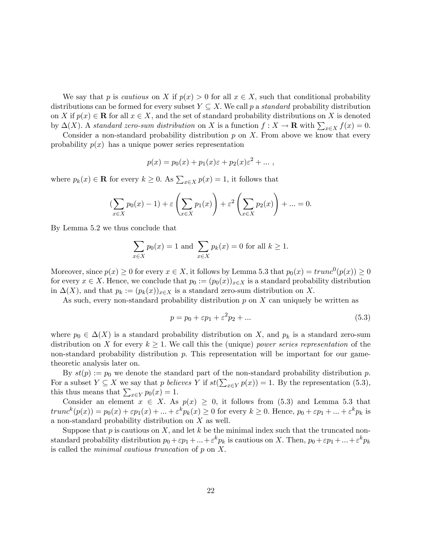We say that p is cautious on X if  $p(x) > 0$  for all  $x \in X$ , such that conditional probability distributions can be formed for every subset  $Y \subseteq X$ . We call p a *standard* probability distribution on X if  $p(x) \in \mathbf{R}$  for all  $x \in X$ , and the set of standard probability distributions on X is denoted by  $\Delta(X)$ . A standard zero-sum distribution on X is a function  $f: X \to \mathbf{R}$  with  $\sum_{x \in X} f(x) = 0$ .

Consider a non-standard probability distribution  $p$  on  $X$ . From above we know that every probability  $p(x)$  has a unique power series representation

$$
p(x) = p_0(x) + p_1(x)\varepsilon + p_2(x)\varepsilon^2 + \dots,
$$

where  $p_k(x) \in \mathbf{R}$  for every  $k \geq 0$ . As  $\sum_{x \in X} p(x) = 1$ , it follows that

$$
\left(\sum_{x \in X} p_0(x) - 1\right) + \varepsilon \left(\sum_{x \in X} p_1(x)\right) + \varepsilon^2 \left(\sum_{x \in X} p_2(x)\right) + \dots = 0.
$$

By Lemma 5.2 we thus conclude that

$$
\sum_{x \in X} p_0(x) = 1
$$
 and 
$$
\sum_{x \in X} p_k(x) = 0
$$
 for all  $k \ge 1$ .

Moreover, since  $p(x) \ge 0$  for every  $x \in X$ , it follows by Lemma 5.3 that  $p_0(x) = trunc^0(p(x)) \ge 0$ for every  $x \in X$ . Hence, we conclude that  $p_0 := (p_0(x))_{x \in X}$  is a standard probability distribution in  $\Delta(X)$ , and that  $p_k := (p_k(x))_{x \in X}$  is a standard zero-sum distribution on X.

As such, every non-standard probability distribution  $p$  on  $X$  can uniquely be written as

$$
p = p_0 + \varepsilon p_1 + \varepsilon^2 p_2 + \dots \tag{5.3}
$$

where  $p_0 \in \Delta(X)$  is a standard probability distribution on X, and  $p_k$  is a standard zero-sum distribution on X for every  $k \geq 1$ . We call this the (unique) power series representation of the non-standard probability distribution  $p$ . This representation will be important for our gametheoretic analysis later on.

By  $st(p) := p_0$  we denote the standard part of the non-standard probability distribution p. For a subset  $Y \subseteq X$  we say that p believes Y if  $st(\sum_{x \in Y} p(x)) = 1$ . By the representation (5.3), this thus means that  $\sum_{x \in Y} p_0(x) = 1$ .

Consider an element  $x \in X$ . As  $p(x) \geq 0$ , it follows from (5.3) and Lemma 5.3 that  $trunc^{k}(p(x)) = p_0(x) + \varepsilon p_1(x) + \ldots + \varepsilon^{k} p_k(x) \ge 0$  for every  $k \ge 0$ . Hence,  $p_0 + \varepsilon p_1 + \ldots + \varepsilon^{k} p_k$  is a non-standard probability distribution on X as well.

Suppose that  $p$  is cautious on  $X$ , and let  $k$  be the minimal index such that the truncated nonstandard probability distribution  $p_0 + \varepsilon p_1 + \ldots + \varepsilon^k p_k$  is cautious on X. Then,  $p_0 + \varepsilon p_1 + \ldots + \varepsilon^k p_k$ is called the *minimal cautious truncation* of  $p$  on  $X$ .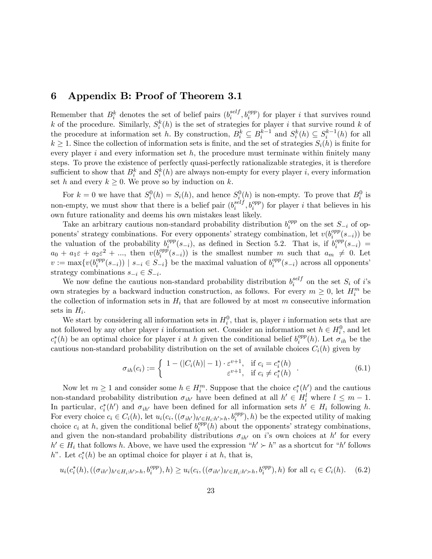### 6 Appendix B: Proof of Theorem 3.1

Remember that  $B_i^k$  denotes the set of belief pairs  $(b_i^{self}$  $i^{self}, b_i^{opp}$  for player *i* that survives round k of the procedure. Similarly,  $S_i^k(h)$  is the set of strategies for player i that survive round k of the procedure at information set h. By construction,  $B_i^k \subseteq B_i^{k-1}$  and  $S_i^k(h) \subseteq S_i^{k-1}(h)$  for all  $k \geq 1$ . Since the collection of information sets is finite, and the set of strategies  $S_i(h)$  is finite for every player i and every information set  $h$ , the procedure must terminate within finitely many steps. To prove the existence of perfectly quasi-perfectly rationalizable strategies, it is therefore sufficient to show that  $B_i^k$  and  $S_i^k(h)$  are always non-empty for every player i, every information set h and every  $k \geq 0$ . We prove so by induction on k.

For  $k = 0$  we have that  $S_i^0(h) = S_i(h)$ , and hence  $S_i^0(h)$  is non-empty. To prove that  $B_i^0$  is non-empty, we must show that there is a belief pair  $(b_i^{self})$  $_i^{self}, b_i^{opp}$  for player *i* that believes in his own future rationality and deems his own mistakes least likely.

Take an arbitrary cautious non-standard probability distribution  $b_i^{opp}$  $i^{opp}$  on the set  $S_{-i}$  of opponents' strategy combinations. For every opponents' strategy combination, let  $v(b_i^{opp})$  $\binom{opp}{i}(s_{-i})$  be the valuation of the probability  $b_i^{opp}$  $\binom{opp}{i}(s_{-i})$ , as defined in Section 5.2. That is, if  $b_i^{opp}$  $\int_i^{opp}(s_{-i})$  =  $a_0 + a_1 \varepsilon + a_2 \varepsilon^2 + \dots$ , then  $v(b_i^{opp})$  $\binom{opp}{i}(s_{-i})$  is the smallest number m such that  $a_m \neq 0$ . Let  $v := \max\{v(b_i^{opp}$  $\binom{opp}{i}(s_{-i})$  |  $s_{-i} \in S_{-i}$ } be the maximal valuation of  $b_i^{opp}$  $i^{opp}(s_{-i})$  across all opponents' strategy combinations  $s_{-i} \in S_{-i}$ .

We now define the cautious non-standard probability distribution  $b_i^{self}$  $i$ <sup>set</sup> on the set  $S_i$  of i's own strategies by a backward induction construction, as follows. For every  $m \geq 0$ , let  $H_i^m$  be the collection of information sets in  $H_i$  that are followed by at most m consecutive information sets in  $H_i$ .

We start by considering all information sets in  $H_i^0$ , that is, player i information sets that are not followed by any other player i information set. Consider an information set  $h \in H_i^0$ , and let  $c_i^*(h)$  be an optimal choice for player i at h given the conditional belief  $b_i^{opp}$  $i^{opp}(h)$ . Let  $\sigma_{ih}$  be the cautious non-standard probability distribution on the set of available choices  $C_i(h)$  given by

$$
\sigma_{ih}(c_i) := \begin{cases}\n1 - (|C_i(h)| - 1) \cdot \varepsilon^{v+1}, & \text{if } c_i = c_i^*(h) \\
\varepsilon^{v+1}, & \text{if } c_i \neq c_i^*(h)\n\end{cases} \tag{6.1}
$$

Now let  $m \geq 1$  and consider some  $h \in H_i^m$ . Suppose that the choice  $c_i^*(h')$  and the cautious non-standard probability distribution  $\sigma_{ih'}$  have been defined at all  $h' \in H_i^l$  where  $l \leq m - 1$ . In particular,  $c_i^*(h')$  and  $\sigma_{ih'}$  have been defined for all information sets  $h' \in H_i$  following h: For every choice  $c_i \in C_i(h)$ , let  $u_i(c_i, ((\sigma_{ih'})_{h' \in H_i: h' \succ h}, b_i^{opp}), h)$  be the expected utility of making choice  $c_i$  at h, given the conditional belief  $b_i^{opp}$  $e_i^{opp}(h)$  about the opponents' strategy combinations, and given the non-standard probability distributions  $\sigma_{ih'}$  on i's own choices at h' for every  $h' \in H_i$  that follows h. Above, we have used the expression " $h' \succ h$ " as a shortcut for "h' follows" h". Let  $c_i^*(h)$  be an optimal choice for player i at h, that is,

$$
u_i(c_i^*(h), ((\sigma_{ih'})_{h' \in H_i: h' \succ h}, b_i^{opp}), h) \ge u_i(c_i, ((\sigma_{ih'})_{h' \in H_i: h' \succ h}, b_i^{opp}), h)
$$
 for all  $c_i \in C_i(h)$ . (6.2)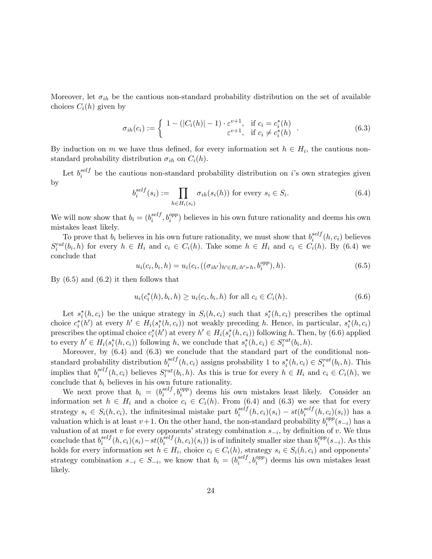Moreover, let  $\sigma_{ih}$  be the cautious non-standard probability distribution on the set of available choices  $C_i(h)$  given by

$$
\sigma_{ih}(c_i) := \begin{cases}\n1 - (|C_i(h)| - 1) \cdot \varepsilon^{v+1}, & \text{if } c_i = c_i^*(h) \\
\varepsilon^{v+1}, & \text{if } c_i \neq c_i^*(h)\n\end{cases} \tag{6.3}
$$

By induction on m we have thus defined, for every information set  $h \in H_i$ , the cautious nonstandard probability distribution  $\sigma_{ih}$  on  $C_i(h)$ .

Let  $b_i^{self}$  $i$ <sup>set</sup> be the cautious non-standard probability distribution on i's own strategies given by

$$
b_i^{self}(s_i) := \prod_{h \in H_i(s_i)} \sigma_{ih}(s_i(h)) \text{ for every } s_i \in S_i.
$$
 (6.4)

We will now show that  $b_i = (b_i^{self}$  $i^{self}, b_i^{opp}$  believes in his own future rationality and deems his own mistakes least likely.

To prove that  $b_i$  believes in his own future rationality, we must show that  $b_i^{self}$  $i^{self}(h, c_i)$  believes  $S_i^{rat}(b_i, h)$  for every  $h \in H_i$  and  $c_i \in C_i(h)$ . Take some  $h \in H_i$  and  $c_i \in C_i(h)$ . By (6.4) we conclude that

$$
u_i(c_i, b_i, h) = u_i(c_i, ((\sigma_{ih'})_{h' \in H_i: h' \succ h}, b_i^{opp}), h).
$$
\n(6.5)

By  $(6.5)$  and  $(6.2)$  it then follows that

$$
u_i(c_i^*(h), b_i, h) \ge u_i(c_i, b_i, h) \text{ for all } c_i \in C_i(h). \tag{6.6}
$$

Let  $s_i^*(h, c_i)$  be the unique strategy in  $S_i(h, c_i)$  such that  $s_i^*(h, c_i)$  prescribes the optimal choice  $c_i^*(h')$  at every  $h' \in H_i(s_i^*(h, c_i))$  not weakly preceding h. Hence, in particular,  $s_i^*(h, c_i)$ prescribes the optimal choice  $c_i^*(h')$  at every  $h' \in H_i(s_i^*(h, c_i))$  following h. Then, by (6.6) applied to every  $h' \in H_i(s_i^*(h, c_i))$  following h, we conclude that  $s_i^*(h, c_i) \in S_i^{rat}(b_i, h)$ .

Moreover, by (6.4) and (6.3) we conclude that the standard part of the conditional nonstandard probability distribution  $b_i^{self}$  $\sum_{i=1}^{\text{self}}(h, c_i)$  assigns probability 1 to  $s_i^*(h, c_i) \in S_i^{\text{rat}}(b_i, h)$ . This implies that  $b_i^{self}$  $s_i^{self}(h, c_i)$  believes  $S_i^{rat}(b_i, h)$ . As this is true for every  $h \in H_i$  and  $c_i \in C_i(h)$ , we conclude that  $b_i$  believes in his own future rationality.

We next prove that  $b_i = (b_i^{self})$  $i_i^{self}, b_i^{opp}$  deems his own mistakes least likely. Consider an information set  $h \in H_i$  and a choice  $c_i \in C_i(h)$ . From (6.4) and (6.3) we see that for every strategy  $s_i \in S_i(h, c_i)$ , the infinitesimal mistake part  $b_i^{self}$  $i^{self}(h, c_i)(s_i) - st(b_i^{self})$  $\binom{self}{i}(h, c_i)(s_i)$  has a valuation which is at least  $v+1$ . On the other hand, the non-standard probability  $b_i^{opp}$  $\binom{opp}{i}(s_{-i})$  has a valuation of at most v for every opponents' strategy combination  $s_{-i}$ , by definition of v. We thus conclude that  $b_i^{self}$  $\sum_{i}^{self}(h, c_i)(s_i) - st(b_i^{self})$  $\frac{self}{i}(h, c_i)(s_i))$  is of infinitely smaller size than  $b_i^{opp}$  $i^{opp}(s_{-i})$ . As this holds for every information set  $h \in H_i$ , choice  $c_i \in C_i(h)$ , strategy  $s_i \in S_i(h, c_i)$  and opponents' strategy combination  $s_{-i} \in S_{-i}$ , we know that  $b_i = (b_i^{self})$  $_{i}^{self}$ ,  $b_{i}^{opp}$ ) deems his own mistakes least likely.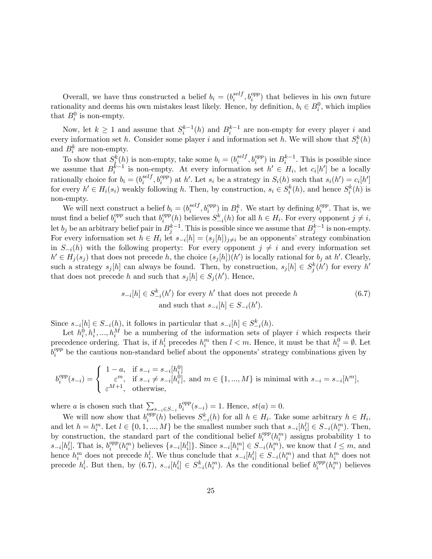Overall, we have thus constructed a belief  $b_i = (b_i^{self})$  $e^{self}_{i}, b^{opp}_{i}$  that believes in his own future rationality and deems his own mistakes least likely. Hence, by definition,  $b_i \in B_i^0$ , which implies that  $B_i^0$  is non-empty.

Now, let  $k \geq 1$  and assume that  $S_i^{k-1}(h)$  and  $B_i^{k-1}$  are non-empty for every player i and every information set h. Consider some player i and information set h. We will show that  $S_i^k(h)$ and  $B_i^k$  are non-empty.

To show that  $S_i^k(h)$  is non-empty, take some  $b_i = (b_i^{self})$  $i^{self}, b_i^{opp}$  in  $B_i^{k-1}$ . This is possible since we assume that  $B_i^{k-1}$  is non-empty. At every information set  $h' \in H_i$ , let  $c_i[h']$  be a locally rationally choice for  $b_i = (b_i^{self}$  $s_{i}^{self}, b_{i}^{opp}$  at h'. Let  $s_{i}$  be a strategy in  $S_{i}(h)$  such that  $s_{i}(h') = c_{i}[h']$ for every  $h' \in H_i(s_i)$  weakly following h. Then, by construction,  $s_i \in S_i^k(h)$ , and hence  $S_i^k(h)$  is non-empty.

We will next construct a belief  $b_i = (b_i^{self})$  ${}_{i}^{self}, b_{i}^{opp}$  in  $B_{i}^{k}$ . We start by defining  $b_{i}^{opp}$  $i^{opp}$ . That is, we must find a belief  $b_i^{opp}$  $i$ <sup>opp</sup> such that  $b_i^{opp}$  $\sum_{i=1}^{opp}(h)$  believes  $S_{-i}^k(h)$  for all  $h \in H_i$ . For every opponent  $j \neq i$ , let  $b_j$  be an arbitrary belief pair in  $B_j^{k-1}$ . This is possible since we assume that  $B_j^{k-1}$  is non-empty. For every information set  $h \in H_i$  let  $s_{-i}[h] = (s_j[h])_{j \neq i}$  be an opponents' strategy combination in  $S_{-i}(h)$  with the following property: For every opponent  $j \neq i$  and every information set  $h' \in H_j(s_j)$  that does not precede h, the choice  $(s_j[h])(h')$  is locally rational for  $b_j$  at h'. Clearly, such a strategy  $s_j[h]$  can always be found. Then, by construction,  $s_j[h] \in S_j^k(h')$  for every  $h'$ that does not precede h and such that  $s_j[h] \in S_j(h')$ . Hence,

$$
s_{-i}[h] \in S_{-i}^k(h') \text{ for every } h' \text{ that does not precede } h
$$
\n
$$
\text{and such that } s_{-i}[h] \in S_{-i}(h'). \tag{6.7}
$$

Since  $s_{-i}[h] \in S_{-i}(h)$ , it follows in particular that  $s_{-i}[h] \in S_{-i}^k(h)$ .

Let  $h_i^0, h_i^1, ..., h_i^M$  be a numbering of the information sets of player i which respects their precedence ordering. That is, if  $h_i^l$  precedes  $h_i^m$  then  $l < m$ . Hence, it must be that  $h_i^0 = \emptyset$ . Let  $\bar b_j^{opp}$  $i<sup>opp</sup>$  be the cautious non-standard belief about the opponents' strategy combinations given by

$$
b_i^{opp}(s_{-i}) = \begin{cases} 1-a, & \text{if } s_{-i} = s_{-i}[h_i^0] \\ \varepsilon^m, & \text{if } s_{-i} \neq s_{-i}[h_i^0], \text{ and } m \in \{1, \dots, M\} \text{ is minimal with } s_{-i} = s_{-i}[h^m], \\ \varepsilon^{M+1}, & \text{otherwise}, \end{cases}
$$

where *a* is chosen such that  $\sum_{s-i \in S_{-i}} b_i^{opp}$  $i^{opp}(s_{-i}) = 1.$  Hence,  $st(a) = 0.$ 

We will now show that  $b_i^{opp}$  $e_i^{opp}(h)$  believes  $S_{-i}^k(h)$  for all  $h \in H_i$ . Take some arbitrary  $h \in H_i$ , and let  $h = h_i^m$ . Let  $l \in \{0, 1, ..., M\}$  be the smallest number such that  $s_{-i}[h_i^l] \in S_{-i}(h_i^m)$ . Then, by construction, the standard part of the conditional belief  $b_i^{opp}$  $i^{opp}(h_i^m)$  assigns probability 1 to  $s_{-i}[h_i^l]$ . That is,  $b_i^{opp}$  $e_i^{opp}(h_i^m)$  believes  $\{s_{-i}[h_i^l]\}$ . Since  $s_{-i}[h_i^m] \in S_{-i}(h_i^m)$ , we know that  $l \leq m$ , and hence  $h_i^m$  does not precede  $h_i^l$ . We thus conclude that  $s_{-i}[h_i^l] \in S_{-i}(h_i^m)$  and that  $h_i^m$  does not precede  $h_i^l$ . But then, by  $(6.7)$ ,  $s_{-i}[h_i^l] \in S_{-i}^k(h_i^m)$ . As the conditional belief  $b_i^{opp}$  $i^{opp}(h_i^m)$  believes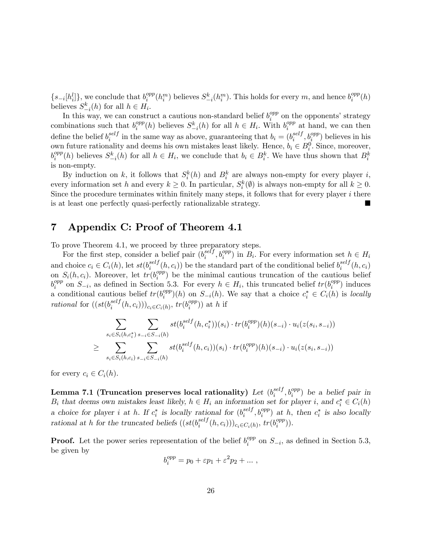$\{s_{-i}[h_i^l]\}\text{, we conclude that } b_i^{opp}$  $\int_i^{opp}(h_i^m)$  believes  $S_{-i}^k(h_i^m)$ . This holds for every m, and hence  $b_i^{opp}$  $\frac{opp}{i}(h)$ believes  $S_{-i}^k(h)$  for all  $h \in H_i$ .

In this way, we can construct a cautious non-standard belief  $b_i^{opp}$  $i^{opp}$  on the opponents' strategy combinations such that  $b_i^{opp}$  $e_i^{opp}(h)$  believes  $S_{-i}^k(h)$  for all  $h \in H_i$ . With  $b_i^{opp}$  $i^{opp}$  at hand, we can then define the belief  $b_i^{self}$  $i^{self}$  in the same way as above, guaranteeing that  $b_i = (b_i^{self})$  $_i^{self}, b_i^{opp}$ ) believes in his own future rationality and deems his own mistakes least likely. Hence,  $b_i \in B_i^0$ . Since, moreover,  $b_i^{opp}$  $e^{opp}(h)$  believes  $S_{-i}^k(h)$  for all  $h \in H_i$ , we conclude that  $b_i \in B_i^k$ . We have thus shown that  $B_i^k$ is non-empty.

By induction on k, it follows that  $S_i^k(h)$  and  $B_i^k$  are always non-empty for every player i, every information set h and every  $k \geq 0$ . In particular,  $S_i^k(\emptyset)$  is always non-empty for all  $k \geq 0$ . Since the procedure terminates within finitely many steps, it follows that for every player  $i$  there is at least one perfectly quasi-perfectly rationalizable strategy.

### 7 Appendix C: Proof of Theorem 4.1

To prove Theorem 4.1, we proceed by three preparatory steps.

For the first step, consider a belief pair  $(b_i^{self})$  $i^{self}, b_i^{opp}$  in  $B_i$ . For every information set  $h \in H_i$ and choice  $c_i \in C_i(h)$ , let  $st(b_i^{self})$  $i^{self}(h, c_i)$  be the standard part of the conditional belief  $b_i^{self}$  $\binom{seij}{i}(h, c_i)$ on  $S_i(h, c_i)$ . Moreover, let  $tr(b_i^{opp})$  $i^{opp}$ ) be the minimal cautious truncation of the cautious belief  $b_i^{opp}$ <sup>opp</sup> on  $S_{-i}$ , as defined in Section 5.3. For every  $h \in H_i$ , this truncated belief  $tr(b_i^{opp})$  $i^{opp}$ ) induces a conditional cautious belief  $tr(b_i^{opp})$  $i^{opp}(h)$  on  $S_{-i}(h)$ . We say that a choice  $c_i^* \in C_i(h)$  is locally rational for  $((st(b_i^{self}$  $\binom{self}{i}(h, c_i))_{c_i \in C_i(h)}$ ,  $tr(b_i^{opp})$  $\binom{opp}{i}$ ) at h if

$$
\sum_{s_i \in S_i(h,c_i^*)} \sum_{s_{-i} \in S_{-i}(h)} st(b_i^{self}(h,c_i^*)) (s_i) \cdot tr(b_i^{opp})(h)(s_{-i}) \cdot u_i(z(s_i,s_{-i}))
$$
  

$$
\geq \sum_{s_i \in S_i(h,c_i)} \sum_{s_{-i} \in S_{-i}(h)} st(b_i^{self}(h,c_i))(s_i) \cdot tr(b_i^{opp})(h)(s_{-i}) \cdot u_i(z(s_i,s_{-i}))
$$

for every  $c_i \in C_i(h)$ .

Lemma 7.1 (Truncation preserves local rationality)  $Let\ (b_i^{self})$  $e^{self}_{i}, b^{opp}_{i}$ ) be a belief pair in  $B_i$  that deems own mistakes least likely,  $h \in H_i$  an information set for player i, and  $c_i^* \in C_i(h)$ a choice for player *i* at *h*. If  $c_i^*$  is locally rational for  $(b_i^{self}$  $i^{self}, b_i^{opp}$  at h, then  $c_i^*$  is also locally rational at h for the truncated beliefs  $((st(b_i<sup>self</sup>$  $\binom{self}{i}(h, c_i))_{c_i \in C_i(h)}$ ,  $tr(b_i^{opp})$  $\binom{opp}{i}$ ).

**Proof.** Let the power series representation of the belief  $b_i^{opp}$  $i^{opp}$  on  $S_{-i}$ , as defined in Section 5.3, be given by

$$
b_i^{opp} = p_0 + \varepsilon p_1 + \varepsilon^2 p_2 + \dots,
$$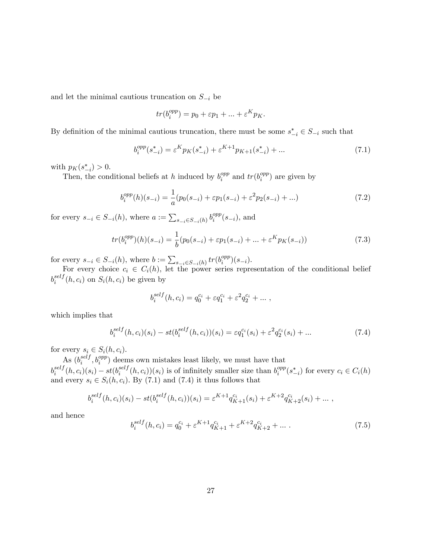and let the minimal cautious truncation on  $S_{-i}$  be

$$
tr(b_i^{opp}) = p_0 + \varepsilon p_1 + \dots + \varepsilon^K p_K.
$$

By definition of the minimal cautious truncation, there must be some  $s_{-i}^* \in S_{-i}$  such that

$$
b_i^{opp}(s_{-i}^*) = \varepsilon^K p_K(s_{-i}^*) + \varepsilon^{K+1} p_{K+1}(s_{-i}^*) + \dots \tag{7.1}
$$

with  $p_K(s_{-i}^*) > 0$ .  $\overline{\phantom{a}}^i$ 

Then, the conditional beliefs at h induced by  $b_i^{opp}$  $i$ <sub>i</sub><sup>opp</sup> and  $tr(b_i^{opp}$  $i^{opp}$ ) are given by

$$
b_i^{opp}(h)(s_{-i}) = \frac{1}{a}(p_0(s_{-i}) + \varepsilon p_1(s_{-i}) + \varepsilon^2 p_2(s_{-i}) + \ldots)
$$
\n(7.2)

for every  $s_{-i} \in S_{-i}(h)$ , where  $a := \sum_{s_{-i} \in S_{-i}(h)} b_i^{opp}$  $i^{opp}(s_{-i}),$  and

$$
tr(b_i^{opp})(h)(s_{-i}) = \frac{1}{b}(p_0(s_{-i}) + \varepsilon p_1(s_{-i}) + \dots + \varepsilon^K p_K(s_{-i}))
$$
\n(7.3)

for every  $s_{-i} \in S_{-i}(h)$ , where  $b := \sum_{s_{-i} \in S_{-i}(h)} tr(b_i^{opp})$  $\binom{opp}{i}(s_{-i}).$ 

For every choice  $c_i \in C_i(h)$ , let the power series representation of the conditional belief  $b^{self}_i$  $s_{i}^{set}$  (h, c<sub>i</sub>) on  $S_i(h, c_i)$  be given by

$$
b_i^{self}(h, c_i) = q_0^{c_i} + \varepsilon q_1^{c_i} + \varepsilon^2 q_2^{c_i} + \dots,
$$

which implies that

$$
b_i^{self}(h, c_i)(s_i) - st(b_i^{self}(h, c_i))(s_i) = \varepsilon q_1^{c_i}(s_i) + \varepsilon^2 q_2^{c_i}(s_i) + \dots \tag{7.4}
$$

for every  $s_i \in S_i(h, c_i)$ .

As  $(b_i^{self}$  $i_i^{self}, b_i^{opp}$  deems own mistakes least likely, we must have that  $b^{self}_i$  $\sum_{i}^{self}(h, c_i)(s_i) - st(b_i^{self})$  $i_i^{self}(h, c_i)(s_i)$  is of infinitely smaller size than  $b_i^{opp}$  $e^{opp}_i(s^*_{-i})$  for every  $c_i \in C_i(h)$ and every  $s_i \in S_i(h, c_i)$ . By (7.1) and (7.4) it thus follows that

$$
b_i^{self}(h, c_i)(s_i) - st(b_i^{self}(h, c_i))(s_i) = \varepsilon^{K+1} q_{K+1}^{c_i}(s_i) + \varepsilon^{K+2} q_{K+2}^{c_i}(s_i) + \dots,
$$

and hence

$$
b_i^{self}(h, c_i) = q_0^{c_i} + \varepsilon^{K+1} q_{K+1}^{c_i} + \varepsilon^{K+2} q_{K+2}^{c_i} + \dots \tag{7.5}
$$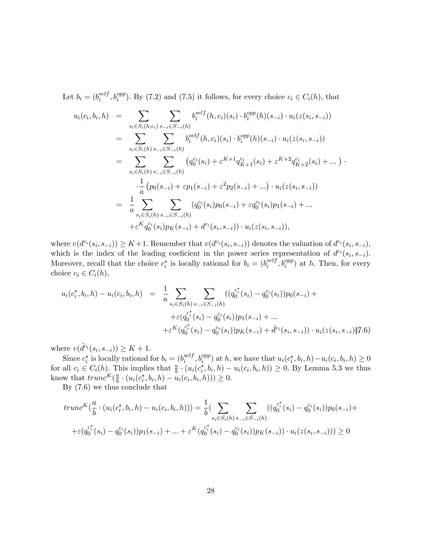Let  $b_i = (b_i^{self}$  $i^{self}, b_i^{opp}$ ). By (7.2) and (7.5) it follows, for every choice  $c_i \in C_i(h)$ , that

$$
u_i(c_i, b_i, h) = \sum_{s_i \in S_i(h, c_i)} \sum_{s_{-i} \in S_{-i}(h)} b_i^{self}(h, c_i)(s_i) \cdot b_i^{opp}(h)(s_{-i}) \cdot u_i(z(s_i, s_{-i}))
$$
  
\n
$$
= \sum_{s_i \in S_i(h)} \sum_{s_{-i} \in S_{-i}(h)} b_i^{self}(h, c_i)(s_i) \cdot b_i^{opp}(h)(s_{-i}) \cdot u_i(z(s_i, s_{-i}))
$$
  
\n
$$
= \sum_{s_i \in S_i(h)} \sum_{s_{-i} \in S_{-i}(h)} (q_0^{c_i}(s_i) + \varepsilon^{K+1} q_{K+1}^{c_i}(s_i) + \varepsilon^{K+2} q_{K+2}^{c_i}(s_i) + \dots) \cdot \frac{1}{a} (p_0(s_{-i}) + \varepsilon p_1(s_{-i}) + \varepsilon^2 p_2(s_{-i}) + \dots) \cdot u_i(z(s_i, s_{-i}))
$$
  
\n
$$
= \frac{1}{a} \sum_{s_i \in S_i(h)} \sum_{s_{-i} \in S_{-i}(h)} (q_0^{c_i}(s_i) p_0(s_{-i}) + \varepsilon q_0^{c_i}(s_i) p_1(s_{-i}) + \dots + \varepsilon^K q_0^{c_i}(s_i) p_K(s_{-i}) + d^{c_i}(s_i, s_{-i})) \cdot u_i(z(s_i, s_{-i})),
$$

where  $v(d^{c_i}(s_i, s_{-i})) \geq K+1$ . Remember that  $v(d^{c_i}(s_i, s_{-i}))$  denotes the valuation of  $d^{c_i}(s_i, s_{-i})$ , which is the index of the leading coeficient in the power series representation of  $d^{c_i}(s_i, s_{-i})$ . Moreover, recall that the choice  $c_i^*$  is locally rational for  $b_i = (b_i^{self}$  $_i^{self}, b_i^{opp}$  at h. Then, for every choice  $c_i \in C_i(h)$ ,

$$
u_i(c_i^*, b_i, h) - u_i(c_i, b_i, h) = \frac{1}{a} \sum_{s_i \in S_i(h)} \sum_{s_{-i} \in S_{-i}(h)} ((q_0^{c_i^*}(s_i) - q_0^{c_i}(s_i))p_0(s_{-i}) +
$$
  
 
$$
+ \varepsilon (q_0^{c_i^*}(s_i) - q_0^{c_i}(s_i))p_1(s_{-i}) + ...
$$
  
 
$$
+ \varepsilon^K (q_0^{c_i^*}(s_i) - q_0^{c_i}(s_i))p_K(s_{-i}) + \hat{d}^{c_i}(s_i, s_{-i})) \cdot u_i(z(s_i, s_{-i}))\mathbf{T}.\mathbf{6})
$$

where  $v(\hat{d}^{c_i}(s_i, s_{-i})) \geq K + 1$ .

Since  $c_i^*$  is locally rational for  $b_i = (b_i^{self})$  $\sum_{i}^{self}$ ,  $b_i^{opp}$ ) at h, we have that  $u_i(c_i^*, b_i, h) - u_i(c_i, b_i, h) \ge 0$ for all  $c_i \in C_i(h)$ . This implies that  $\frac{a}{b} \cdot (u_i(c_i^*, b_i, h) - u_i(c_i, b_i, h)) \ge 0$ . By Lemma 5.3 we thus know that  $trunc^{K}(\frac{a}{b})$  $\frac{a}{b} \cdot (u_i(c_i^*, b_i, h) - u_i(c_i, b_i, h))) \geq 0.$ 

By (7.6) we thus conclude that

$$
trunc^{K}(\frac{a}{b} \cdot (u_{i}(c_{i}^{*}, b_{i}, h) - u_{i}(c_{i}, b_{i}, h))) = \frac{1}{b} \left( \sum_{s_{i} \in S_{i}(h)} \sum_{s_{-i} \in S_{-i}(h)} ((q_{0}^{c_{i}^{*}}(s_{i}) - q_{0}^{c_{i}}(s_{i})) p_{0}(s_{-i}) +
$$
  
 
$$
+ \varepsilon (q_{0}^{c_{i}^{*}}(s_{i}) - q_{0}^{c_{i}}(s_{i})) p_{1}(s_{-i}) + ... + \varepsilon^{K} (q_{0}^{c_{i}^{*}}(s_{i}) - q_{0}^{c_{i}}(s_{i})) p_{K}(s_{-i})) \cdot u_{i}(z(s_{i}, s_{-i}))) \geq 0
$$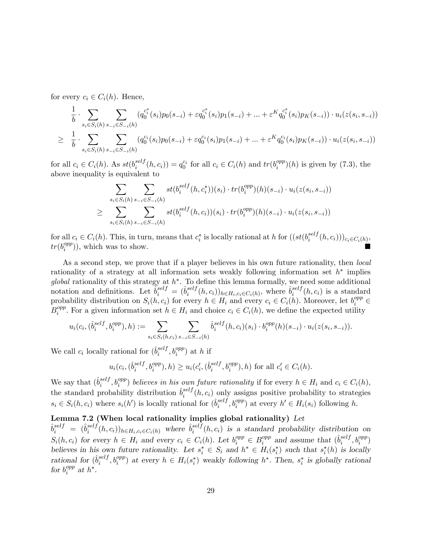for every  $c_i \in C_i(h)$ . Hence,

$$
\frac{1}{b} \cdot \sum_{s_i \in S_i(h)} \sum_{s_{-i} \in S_{-i}(h)} (q_0^{c_i^*}(s_i) p_0(s_{-i}) + \varepsilon q_0^{c_i^*}(s_i) p_1(s_{-i}) + \dots + \varepsilon^K q_0^{c_i^*}(s_i) p_K(s_{-i})) \cdot u_i(z(s_i, s_{-i}))
$$
\n
$$
\geq \frac{1}{b} \cdot \sum_{s_i \in S_i(h)} \sum_{s_{-i} \in S_{-i}(h)} (q_0^{c_i}(s_i) p_0(s_{-i}) + \varepsilon q_0^{c_i}(s_i) p_1(s_{-i}) + \dots + \varepsilon^K q_0^{c_i}(s_i) p_K(s_{-i})) \cdot u_i(z(s_i, s_{-i}))
$$

for all  $c_i \in C_i(h)$ . As  $st(b_i^{self})$  $i^{self}(h, c_i)) = q_0^{c_i}$  for all  $c_i \in C_i(h)$  and  $tr(b_i^{opp})$  $\binom{opp}{i}(h)$  is given by  $(7.3)$ , the above inequality is equivalent to

$$
\sum_{s_i \in S_i(h)} \sum_{s_{-i} \in S_{-i}(h)} st(b_i^{self}(h, c_i^*)) (s_i) \cdot tr(b_i^{opp})(h)(s_{-i}) \cdot u_i(z(s_i, s_{-i}))
$$
  

$$
\geq \sum_{s_i \in S_i(h)} \sum_{s_{-i} \in S_{-i}(h)} st(b_i^{self}(h, c_i))(s_i) \cdot tr(b_i^{opp})(h)(s_{-i}) \cdot u_i(z(s_i, s_{-i}))
$$

for all  $c_i \in C_i(h)$ . This, in turn, means that  $c_i^*$  is locally rational at h for  $((st(b_i^{self}$  $\binom{seif}{i}(h,c_i))_{c_i\in C_i(h)}$  $tr(b_i^{opp}$  $\binom{opp}{i}$ , which was to show.

As a second step, we prove that if a player believes in his own future rationality, then *local* rationality of a strategy at all information sets weakly following information set  $h^*$  implies global rationality of this strategy at  $h^*$ . To define this lemma formally, we need some additional notation and definitions. Let  $\hat{b}^{self}_i = (\hat{b}^{self}_i)$  $\sum_{i}^{self}(h, c_i)$ <sub>h $\in H_i, c_i \in C_i(h)$ , where  $\hat{b}_i^{self}$ </sub>  $i^{self}(h, c_i)$  is a standard probability distribution on  $S_i(h, c_i)$  for every  $h \in H_i$  and every  $c_i \in C_i(h)$ . Moreover, let  $b_i^{opp} \in$  $B_i^{opp}$  $i^{opp}$ . For a given information set  $h \in H_i$  and choice  $c_i \in C_i(h)$ , we define the expected utility

$$
u_i(c_i, (\hat{b}_i^{self}, b_i^{opp}), h) := \sum_{s_i \in S_i(h, c_i)} \sum_{s_{-i} \in S_{-i}(h)} \hat{b}_i^{self}(h, c_i)(s_i) \cdot b_i^{opp}(h)(s_{-i}) \cdot u_i(z(s_i, s_{-i})).
$$

We call  $c_i$  locally rational for  $(\hat{b}_i^{self}$  $_i^{self}, b_i^{opp}$  at h if

$$
u_i(c_i, (\hat{b}_i^{self}, b_i^{opp}), h) \ge u_i(c_i', (\hat{b}_i^{self}, b_i^{opp}), h)
$$
 for all  $c_i' \in C_i(h)$ .

We say that  $(\hat{b}_i^{self}$  $i^{self}, b_i^{opp}$  believes in his own future rationality if for every  $h \in H_i$  and  $c_i \in C_i(h)$ , the standard probability distribution  $\hat{b}^{self}_{i}$  $e_i^{set}$  (h,  $c_i$ ) only assigns positive probability to strategies  $s_i \in S_i(h, c_i)$  where  $s_i(h')$  is locally rational for  $(\hat{b}_i^{self})$  $e_i^{self}, b_i^{opp}$  at every  $h' \in H_i(s_i)$  following h.

## Lemma 7.2 (When local rationality implies global rationality) Let

 $\hat{b}^{self}_i = (\hat{b}^{self}_i)$  $e^{self}(h, c_i))_{h \in H_i, c_i \in C_i(h)}$  where  $\hat{b}_i^{self}$  $e_i^{set}(h, c_i)$  is a standard probability distribution on  $S_i(h, c_i)$  for every  $h \in H_i$  and every  $c_i \in C_i(h)$ . Let  $b_i^{opp} \in B_i^{opp}$  $_i^{opp}$  and assume that  $(\hat{b}_i^{self}$  $_i^{self}, b_i^{opp}$ believes in his own future rationality. Let  $s_i^* \in S_i$  and  $h^* \in H_i(s_i^*)$  such that  $s_i^*(h)$  is locally rational for  $(\hat{b}_i^{self}$  $i^{self}, b_i^{opp}$  at every  $h \in H_i(s_i^*)$  weakly following  $h^*$ . Then,  $s_i^*$  is globally rational for  $b_i^{opp}$  $i^{opp}$  at  $h^*$ .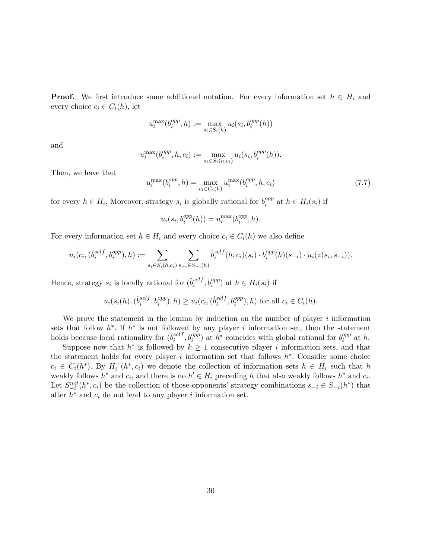**Proof.** We first introduce some additional notation. For every information set  $h \in H_i$  and every choice  $c_i \in C_i(h)$ , let

$$
u_i^{\max}(b_i^{opp}, h) := \max_{s_i \in S_i(h)} u_i(s_i, b_i^{opp}(h))
$$

and

$$
u_i^{\max}(b_i^{opp}, h, c_i) := \max_{s_i \in S_i(h, c_i)} u_i(s_i, b_i^{opp}(h)).
$$

Then, we have that

$$
u_i^{\max}(b_i^{opp}, h) = \max_{c_i \in C_i(h)} u_i^{\max}(b_i^{opp}, h, c_i)
$$
\n(7.7)

for every  $h \in H_i$ . Moreover, strategy  $s_i$  is globally rational for  $b_i^{opp}$  $i^{opp}$  at  $h \in H_i(s_i)$  if

$$
u_i(s_i, b_i^{opp}(h)) = u_i^{\max}(b_i^{opp}, h).
$$

For every information set  $h \in H_i$  and every choice  $c_i \in C_i(h)$  we also define

$$
u_i(c_i, (\hat{b}_i^{self}, b_i^{opp}), h) := \sum_{s_i \in S_i(h, c_i)} \sum_{s_{-i} \in S_{-i}(h)} \hat{b}_i^{self}(h, c_i)(s_i) \cdot b_i^{opp}(h)(s_{-i}) \cdot u_i(z(s_i, s_{-i})).
$$

Hence, strategy  $s_i$  is locally rational for  $(\hat{b}_i^{self}$  $_i^{self}, b_i^{opp}$  at  $h \in H_i(s_i)$  if

$$
u_i(s_i(h), (\hat{b}_i^{self}, b_i^{opp}), h) \ge u_i(c_i, (\hat{b}_i^{self}, b_i^{opp}), h)
$$
 for all  $c_i \in C_i(h)$ .

We prove the statement in the lemma by induction on the number of player  $i$  information sets that follow  $h^*$ . If  $h^*$  is not followed by any player i information set, then the statement holds because local rationality for  $(\hat{b}_i^{self})$  $i_i^{self}$ ,  $b_i^{opp}$  at  $h^*$  coincides with global rational for  $b_i^{opp}$  $i^{opp}$  at h.

Suppose now that  $h^*$  is followed by  $k \geq 1$  consecutive player i information sets, and that the statement holds for every player  $i$  information set that follows  $h^*$ . Consider some choice  $c_i \in C_i(h^*)$ . By  $H_i^+(h^*, c_i)$  we denote the collection of information sets  $h \in H_i$  such that h weakly follows  $h^*$  and  $c_i$ , and there is no  $h' \in H_i$  preceding h that also weakly follows  $h^*$  and  $c_i$ . Let  $S_{i}^{not}(h^*, c_i)$  be the collection of those opponents' strategy combinations  $s_{-i} \in S_{-i}(h^*)$  that after  $h^*$  and  $c_i$  do not lead to any player i information set.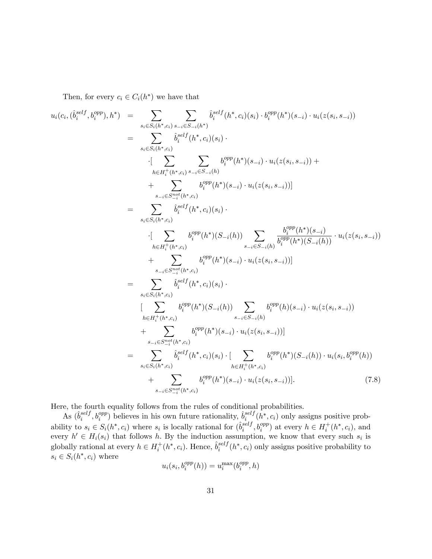Then, for every  $c_i \in C_i(h^*)$  we have that

$$
u_i(c_i, (\hat{b}_i^{self}, b_i^{opp}), h^*) = \sum_{s_i \in S_i(h^*, c_i)} \sum_{s_i \in S_{-i}(h^*)} \hat{b}_i^{self}(h^*, c_i)(s_i) \cdot b_i^{opp}(h^*)(s_{-i}) \cdot u_i(z(s_i, s_{-i}))
$$
  
\n
$$
= \sum_{s_i \in S_i(h^*, c_i)} \hat{b}_i^{self}(h^*, c_i)(s_i) \cdot \sum_{t_i \in H_i^+(h^*, c_i)} \sum_{s_i \in S_{-i}(h)} b_i^{opp}(h^*)(s_{-i}) \cdot u_i(z(s_i, s_{-i})) + \sum_{s_{-i} \in S_{-i}^+(h^*, c_i)} b_i^{app}(h^*)(s_{-i}) \cdot u_i(z(s_i, s_{-i}))]
$$
  
\n
$$
= \sum_{s_i \in S_i(h^*, c_i)} \hat{b}_i^{self}(h^*, c_i)(s_i) \cdot \sum_{h \in H_i^+(h^*, c_i)} b_i^{opp}(h^*)(S_{-i}(h)) \sum_{s_{-i} \in S_{-i}(h)} \frac{b_i^{opp}(h^*)(s_{-i})}{b_i^{opp}(h^*)(S_{-i}(h))} \cdot u_i(z(s_i, s_{-i}))
$$
  
\n
$$
+ \sum_{s_{-i} \in S_{-i}^{nei}(h^*, c_i)} b_i^{opp}(h^*)(s_{-i}) \cdot u_i(z(s_i, s_{-i}))
$$
  
\n
$$
= \sum_{s_i \in S_i(h^*, c_i)} \hat{b}_i^{self}(h^*, c_i)(s_i) \cdot \sum_{s_{-i} \in S_{-i}(h)} b_i^{opp}(h)(s_{-i}) \cdot u_i(z(s_i, s_{-i}))
$$
  
\n
$$
+ \sum_{h \in H_i^+(h^*, c_i)} b_i^{opp}(h^*)(s_{-i}(h)) \sum_{s_{-i} \in S_{-i}(h)} b_i^{opp}(h)(s_{-i}) \cdot u_i(z(s_i, s_{-i}))
$$
  
\n
$$
+ \sum_{s_i \in S_i(h^*, c_i)} \hat{b}_i^{self}(h^*, c_i)(s_i) \cdot [\sum_{h \in H_i^+(h^*, c_i)} b_i^{opp}(h^*)(S_{-i}(h)) \cdot u_i(s_i, b_i^{opp}(h))
$$
  
\n
$$
+ \sum_{s_{-i} \in S_{-i}^{
$$

Here, the fourth equality follows from the rules of conditional probabilities.

As  $(\hat{b}_i^{self}$  $i^{self}, b_i^{opp}$  believes in his own future rationality,  $\hat{b}_i^{self}$  $\sum_{i=1}^{set} (h^*, c_i)$  only assigns positive probability to  $s_i \in S_i(h^*, c_i)$  where  $s_i$  is locally rational for  $(\hat{b}_i^{self})$  $_{i}^{self}, b_{i}^{opp}$  at every  $h \in H_{i}^{+}(h^{*}, c_{i}),$  and every  $h' \in H_i(s_i)$  that follows h. By the induction assumption, we know that every such  $s_i$  is globally rational at every  $h \in H_i^+(h^*, c_i)$ . Hence,  $\hat{b}_i^{self}$  $e^{set}$   $(h^*, c_i)$  only assigns positive probability to  $s_i \in S_i(h^*, c_i)$  where

$$
u_i(s_i, b_i^{opp}(h)) = u_i^{\max}(b_i^{opp}, h)
$$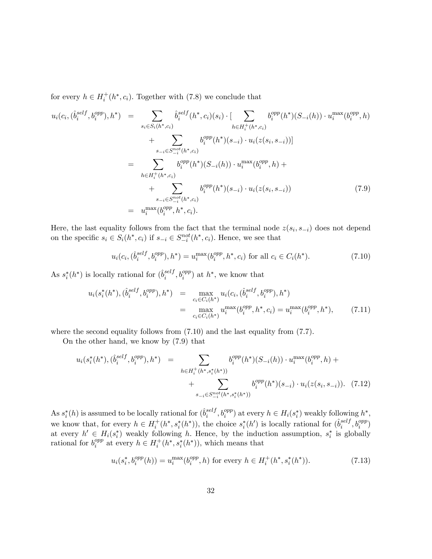for every  $h \in H_i^+(h^*, c_i)$ . Together with (7.8) we conclude that

$$
u_i(c_i, (\hat{b}_i^{self}, b_i^{opp}), h^*) = \sum_{s_i \in S_i(h^*, c_i)} \hat{b}_i^{self}(h^*, c_i)(s_i) \cdot [\sum_{h \in H_i^+(h^*, c_i)} b_i^{opp}(h^*)(S_{-i}(h)) \cdot u_i^{max}(b_i^{opp}, h) + \sum_{s_{-i} \in S_{-i}^{not}(h^*, c_i)} b_i^{opp}(h^*)(s_{-i}) \cdot u_i(z(s_i, s_{-i}))]
$$
  

$$
= \sum_{h \in H_i^+(h^*, c_i)} b_i^{opp}(h^*)(S_{-i}(h)) \cdot u_i^{max}(b_i^{opp}, h) +
$$
  

$$
+ \sum_{s_{-i} \in S_{-i}^{not}(h^*, c_i)} b_i^{opp}(h^*)(s_{-i}) \cdot u_i(z(s_i, s_{-i})) = u_i^{max}(b_i^{opp}, h^*, c_i).
$$
 (7.9)

Here, the last equality follows from the fact that the terminal node  $z(s_i, s_{-i})$  does not depend on the specific  $s_i \in S_i(h^*, c_i)$  if  $s_{-i} \in S_{-i}^{not}(h^*, c_i)$ . Hence, we see that

$$
u_i(c_i, (\hat{b}_i^{self}, b_i^{opp}), h^*) = u_i^{\max}(b_i^{opp}, h^*, c_i) \text{ for all } c_i \in C_i(h^*). \tag{7.10}
$$

As  $s_i^*(h^*)$  is locally rational for  $(\hat{b}_i^{self})$  $_i^{self}, b_i^{opp}$  at  $h^*$ , we know that

$$
u_i(s_i^*(h^*), (\hat{b}_i^{self}, b_i^{opp}), h^*) = \max_{c_i \in C_i(h^*)} u_i(c_i, (\hat{b}_i^{self}, b_i^{opp}), h^*)
$$
  
= 
$$
\max_{c_i \in C_i(h^*)} u_i^{\max}(b_i^{opp}, h^*, c_i) = u_i^{\max}(b_i^{opp}, h^*), \qquad (7.11)
$$

where the second equality follows from  $(7.10)$  and the last equality from  $(7.7)$ .

On the other hand, we know by (7.9) that

$$
u_i(s_i^*(h^*), (\hat{b}_i^{self}, b_i^{opp}), h^*) = \sum_{h \in H_i^+(h^*, s_i^*(h^*))} b_i^{opp}(h^*)(S_{-i}(h)) \cdot u_i^{max}(b_i^{opp}, h) + \sum_{s_{-i} \in S_{-i}^{not}(h^*, s_i^*(h^*))} b_i^{opp}(h^*)(s_{-i}) \cdot u_i(z(s_i, s_{-i})). \tag{7.12}
$$

As  $s_i^*(h)$  is assumed to be locally rational for  $(\hat{b}_i^{self})$  $i^{self}, b_i^{opp}$  at every  $h \in H_i(s_i^*)$  weakly following  $h^*,$ we know that, for every  $h \in H_i^+(h^*, s_i^*(h^*))$ , the choice  $s_i^*(h')$  is locally rational for  $(\hat{b}_i^{self})$  $_i^{self}, b_i^{opp}$ at every  $h' \in H_i(s_i^*)$  weakly following h. Hence, by the induction assumption,  $s_i^*$  is globally rational for  $b_i^{opp}$  $e_i^{opp}$  at every  $h \in H_i^+(h^*, s_i^*(h^*)),$  which means that

$$
u_i(s_i^*, b_i^{opp}(h)) = u_i^{\max}(b_i^{opp}, h) \text{ for every } h \in H_i^+(h^*, s_i^*(h^*)).
$$
 (7.13)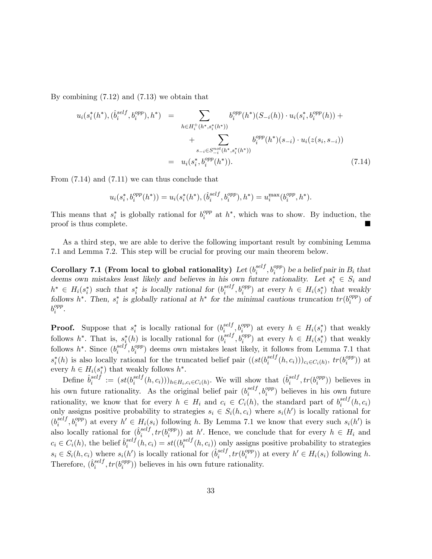By combining (7.12) and (7.13) we obtain that

$$
u_i(s_i^*(h^*), (\hat{b}_i^{self}, b_i^{opp}), h^*) = \sum_{h \in H_i^+(h^*, s_i^*(h^*))} b_i^{opp}(h^*)(S_{-i}(h)) \cdot u_i(s_i^*, b_i^{opp}(h)) + \sum_{s_{-i} \in S_{-i}^{not}(h^*, s_i^*(h^*))} b_i^{opp}(h^*)(s_{-i}) \cdot u_i(z(s_i, s_{-i}))
$$
  

$$
= u_i(s_i^*, b_i^{opp}(h^*)). \tag{7.14}
$$

From (7.14) and (7.11) we can thus conclude that

$$
u_i(s_i^*, b_i^{opp}(h^*)) = u_i(s_i^*(h^*), (\hat{b}_i^{self}, b_i^{opp}), h^*) = u_i^{\max}(b_i^{opp}, h^*).
$$

This means that  $s_i^*$  is globally rational for  $b_i^{opp}$  $i_i^{opp}$  at  $h^*$ , which was to show. By induction, the proof is thus complete.

As a third step, we are able to derive the following important result by combining Lemma 7.1 and Lemma 7.2. This step will be crucial for proving our main theorem below.

Corollary 7.1 (From local to global rationality)  $Let (b_i^{self})$  $\delta_i^{self}, b_i^{opp})$  be a belief pair in  $B_i$  that deems own mistakes least likely and believes in his own future rationality. Let  $s_i^* \in S_i$  and  $h^* \in H_i(s_i^*)$  such that  $s_i^*$  is locally rational for  $(b_i^{self})$  $e^{self}, b_i^{opp}$  at every  $h \in H_i(s_i^*)$  that weakly follows h<sup>\*</sup>. Then,  $s_i^*$  is globally rational at h<sup>\*</sup> for the minimal cautious truncation  $tr(b_i^{opp})$  $i^{opp}$ ) of  $b_i^{opp}$  $_{i}^{opp}.$ 

**Proof.** Suppose that  $s_i^*$  is locally rational for  $(b_i^{self})$  $\sum_{i}^{self}, b_i^{opp}$  at every  $h \in H_i(s_i^*)$  that weakly follows  $h^*$ . That is,  $s_i^*(h)$  is locally rational for  $(b_i^{self})$  $e^{self}, b_i^{opp}$  at every  $h \in H_i(s_i^*)$  that weakly follows  $h^*$ . Since  $(b_i^{self}$  $e^{self}, b^{opp}_i$  deems own mistakes least likely, it follows from Lemma 7.1 that  $s_i^*(h)$  is also locally rational for the truncated belief pair  $((st(b_i^{self}$  $\binom{self}{i}(h, c_i))_{c_i \in C_i(h)}$ ,  $tr(b_i^{opp})$  $_i^{opp})$  at every  $h \in H_i(s_i^*)$  that weakly follows  $h^*$ .

Define  $\hat{b}^{self}_i$  $\begin{array}{rcl} _{self}^{self} & := & (st(b_i^{self} \end{array}$  $\sum_{i=1}^{self}(h, c_i))_{h \in H_i, c_i \in C_i(h)}$ . We will show that  $(\hat{b}_i^{self})$  $_i^{self}, tr(b_i^{opp}$  $i^{opp}$ )) believes in his own future rationality. As the original belief pair  $(b_i^{self})$  $e^{self}_{i}, b^{opp}_{i}$  believes in his own future rationality, we know that for every  $h \in H_i$  and  $c_i \in C_i(h)$ , the standard part of  $b_i^{self}$  $\binom{seif}{i}(h, c_i)$ only assigns positive probability to strategies  $s_i \in S_i(h, c_i)$  where  $s_i(h')$  is locally rational for  $(b_i^{self}$  $i^{self}, b_i^{opp}$  at every  $h' \in H_i(s_i)$  following h. By Lemma 7.1 we know that every such  $s_i(h')$  is also locally rational for  $(\hat{b}^{self}_{i})$  $_i^{self}, tr(b_i^{opp}$  $\binom{opp}{i}$  at h'. Hence, we conclude that for every  $h \in H_i$  and  $c_i \in C_i(h)$ , the belief  $\hat{b}^{self}_i$  $i^{self}(h, c_i) = st((b_i^{self})$  $e_i^{set}(h, c_i)$  only assigns positive probability to strategies  $s_i \in S_i(h, c_i)$  where  $s_i(h')$  is locally rational for  $(\hat{b}_i^{self})$  $_i^{self}, tr(b_i^{opp}$  $i^{opp}$ ) at every  $h' \in H_i(s_i)$  following h. Therefore,  $(\hat{b}_i^{self}$  $_i^{self}, tr(b_i^{opp}$  $\binom{opp}{i}$ ) believes in his own future rationality.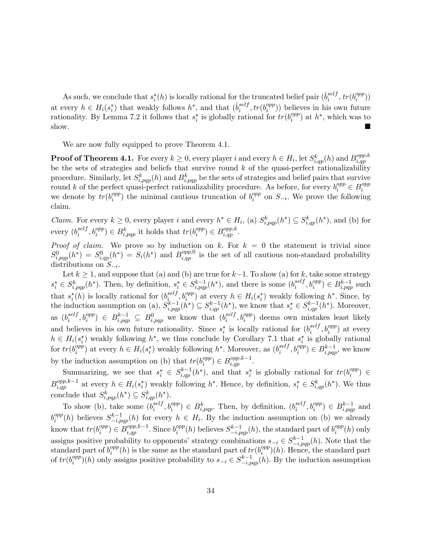As such, we conclude that  $s_i^*(h)$  is locally rational for the truncated belief pair  $(\hat{b}_i^{self})$  $_i^{self}$ ,  $tr(b_i^{opp}$  $\binom{opp}{i})$ at every  $h \in H_i(s_i^*)$  that weakly follows  $h^*$ , and that  $(\hat{b}_i^{self}$  $_i^{self}, tr(b_i^{opp}$  $\binom{opp}{i}$ ) believes in his own future rationality. By Lemma 7.2 it follows that  $s_i^*$  is globally rational for  $tr(b_i^{opp}$  $i^{opp}$  at  $h^*$ , which was to show.

We are now fully equipped to prove Theorem 4.1.

**Proof of Theorem 4.1.** For every  $k \geq 0$ , every player i and every  $h \in H_i$ , let  $S_{i,qp}^k(h)$  and  $B_{i,qp}^{opp,k}$ i;qp be the sets of strategies and beliefs that survive round  $k$  of the quasi-perfect rationalizability procedure. Similarly, let  $S_{i,pqp}^k(h)$  and  $B_{i,pqp}^k$  be the sets of strategies and belief pairs that survive round k of the perfect quasi-perfect rationalizability procedure. As before, for every  $b_i^{opp} \in B_i^{opp}$ i we denote by  $tr(b_i^{opp}$  $\binom{opp}{i}$  the minimal cautious truncation of  $b_i^{opp}$  $i^{opp}$  on  $S_{-i}$ . We prove the following claim.

*Claim.* For every  $k \geq 0$ , every player i and every  $h^* \in H_i$ , (a)  $S_{i, pqp}^k(h^*) \subseteq S_{i, qp}^k(h^*)$ , and (b) for every  $(b_i^{self}$  $i^{self}, b_i^{opp}$ )  $\in B_{i, pqp}^k$  it holds that  $tr(b_i^{opp})$  $i^{opp}$ )  $\in B_{i,qp}^{opp,k}$ .

*Proof of claim.* We prove so by induction on k. For  $k = 0$  the statement is trivial since  $S^0_{i,pqp}(h^*) = S^0_{i,qp}(h^*) = S_i(h^*)$  and  $B^{opp,0}_{i,qp}$  is the set of all cautious non-standard probability distributions on  $S_{-i}$ .

Let  $k \ge 1$ , and suppose that (a) and (b) are true for  $k-1$ . To show (a) for k, take some strategy  $s_i^* \in S_{i,pqp}^k(h^*)$ . Then, by definition,  $s_i^* \in S_{i,pqp}^{k-1}(h^*)$ , and there is some  $(b_i^{self})$  $i^{self}, b_i^{opp} \in B_{i, pqp}^{k-1}$  such that  $s_i^*(h)$  is locally rational for  $(b_i^{self})$  $\sum_{i=1}^{self} b_i^{opp}$  at every  $h \in H_i(s_i^*)$  weakly following  $h^*$ . Since, by the induction assumption on (a),  $S_{i, pqp}^{k-1}(h^*) \subseteq S_{i, qp}^{k-1}(h^*)$ , we know that  $s_i^* \in S_{i, qp}^{k-1}(h^*)$ . Moreover, as  $(b_i^{self}$  $i^{self}, b_i^{opp}$   $\in B_{i, pqp}^{k-1} \subseteq B_{i, pqp}^0$  we know that  $(b_i^{self})$  $e^{self}_{i}, b^{opp}_{i}$ ) deems own mistakes least likely and believes in his own future rationality. Since  $s_i^*$  is locally rational for  $(b_i^{self}$  $_i^{self}, b_i^{opp}$  at every  $h \in H_i(s_i^*)$  weakly following  $h^*$ , we thus conclude by Corollary 7.1 that  $s_i^*$  is globally rational for  $tr(b_i^{opp}$  $\binom{opp}{i}$  at every  $h \in H_i(s_i^*)$  weakly following  $h^*$ . Moreover, as  $(b_i^{self})$  $i^{self}, b_i^{opp} \in B_{i, pqp}^{k-1}$ , we know by the induction assumption on (b) that  $tr(b_i^{opp})$  $i^{opp}$ )  $\in B_{i,qp}^{opp,k-1}$ .

Summarizing, we see that  $s_i^* \in S_{i,qp}^{k-1}(h^*)$ , and that  $s_i^*$  is globally rational for  $tr(b_i^{opp})$  $i^{opp}$ )  $\in$  $B_{i,qp}^{opp,k-1}$  at every  $h \in H_i(s_i^*)$  weakly following  $h^*$ . Hence, by definition,  $s_i^* \in S_{i,qp}^k(h^*)$ . We thus conclude that  $S_{i,pqp}^k(h^*) \subseteq S_{i,qp}^k(h^*)$ .

To show (b), take some  $(b_i^{self}$  $i^{self}, b_i^{opp} \in B_{i, pqp}^k$ . Then, by definition,  $(b_i^{self})$  $i^{self}, b_i^{opp} \in B_{i, pqp}^{k-1}$  and  $b_i^{opp}$  $e_i^{opp}(h)$  believes  $S_{-i, pqp}^{k-1}(h)$  for every  $h \in H_i$ . By the induction assumption on (b) we already know that  $tr(b_i^{opp}$  $\binom{opp}{i} \in B_{i,qp}^{opp,k-1}$ . Since  $b_i^{opp}$  $e_i^{opp}(h)$  believes  $S_{-i, pqp}^{k-1}(h)$ , the standard part of  $b_i^{opp}$  $i^{opp}(h)$  only assigns positive probability to opponents' strategy combinations  $s_{-i} \in S_{-i,pqp}^{k-1}(h)$ . Note that the standard part of  $b_i^{opp}$  $\binom{opp}{i}(h)$  is the same as the standard part of  $tr(b_i^{opp})$  $\binom{opp}{i}(h)$ . Hence, the standard part of  $tr(b_i^{opp}$  $\binom{opp}{i}(h)$  only assigns positive probability to  $s_{-i} \in S^{k-1}_{-i, pqp}(h)$ . By the induction assumption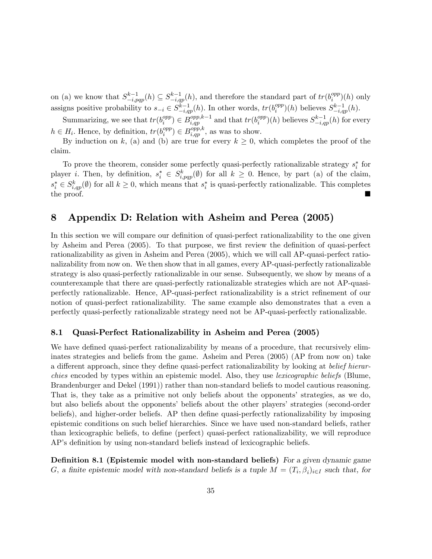on (a) we know that  $S_{-i,pqp}^{k-1}(h) \subseteq S_{-i,qp}^{k-1}(h)$ , and therefore the standard part of  $tr(b_i^{opp})$  $i^{opp}(h)$  only assigns positive probability to  $s_{-i} \in S_{-i,qp}^{\overline{k}-1}(h)$ . In other words,  $tr(b_i^{opp})$  $S_{-i,qp}^{opp}(h)$  believes  $S_{-i,qp}^{k-1}(h)$ .

Summarizing, we see that  $tr(b_i^{opp})$  $\binom{opp}{i} \in B_{i,qp}^{opp,k-1}$  and that  $tr(b_i^{opp})$  $\binom{opp}{i}(h)$  believes  $S_{-i,qp}^{k-1}(h)$  for every  $h \in H_i$ . Hence, by definition,  $tr(b_i^{opp})$  $\binom{opp}{i} \in B_{i,qp}^{opp,k}$ , as was to show.

By induction on k, (a) and (b) are true for every  $k \geq 0$ , which completes the proof of the claim.

To prove the theorem, consider some perfectly quasi-perfectly rationalizable strategy  $s_i^*$  for player *i*. Then, by definition,  $s_i^* \in S_{i,pqp}^k(\emptyset)$  for all  $k \geq 0$ . Hence, by part (a) of the claim,  $s_i^* \in S_{i,qp}^k(\emptyset)$  for all  $k \geq 0$ , which means that  $s_i^*$  is quasi-perfectly rationalizable. This completes the proof.

### 8 Appendix D: Relation with Asheim and Perea (2005)

In this section we will compare our definition of quasi-perfect rationalizability to the one given by Asheim and Perea (2005). To that purpose, we first review the definition of quasi-perfect rationalizability as given in Asheim and Perea (2005), which we will call AP-quasi-perfect rationalizability from now on. We then show that in all games, every AP-quasi-perfectly rationalizable strategy is also quasi-perfectly rationalizable in our sense. Subsequently, we show by means of a counterexample that there are quasi-perfectly rationalizable strategies which are not AP-quasiperfectly rationalizable. Hence, AP-quasi-perfect rationalizability is a strict refinement of our notion of quasi-perfect rationalizability. The same example also demonstrates that a even a perfectly quasi-perfectly rationalizable strategy need not be AP-quasi-perfectly rationalizable.

### 8.1 Quasi-Perfect Rationalizability in Asheim and Perea (2005)

We have defined quasi-perfect rationalizability by means of a procedure, that recursively eliminates strategies and beliefs from the game. Asheim and Perea (2005) (AP from now on) take a different approach, since they define quasi-perfect rationalizability by looking at belief hierarchies encoded by types within an epistemic model. Also, they use lexicographic beliefs (Blume, Brandenburger and Dekel (1991)) rather than non-standard beliefs to model cautious reasoning. That is, they take as a primitive not only beliefs about the opponents' strategies, as we do, but also beliefs about the opponentsí beliefs about the other playersí strategies (second-order beliefs), and higher-order beliefs. AP then define quasi-perfectly rationalizability by imposing epistemic conditions on such belief hierarchies. Since we have used non-standard beliefs, rather than lexicographic beliefs, to define (perfect) quasi-perfect rationalizability, we will reproduce AP's definition by using non-standard beliefs instead of lexicographic beliefs.

**Definition 8.1 (Epistemic model with non-standard beliefs)** For a given dynamic game G, a finite epistemic model with non-standard beliefs is a tuple  $M = (T_i, \beta_i)_{i \in I}$  such that, for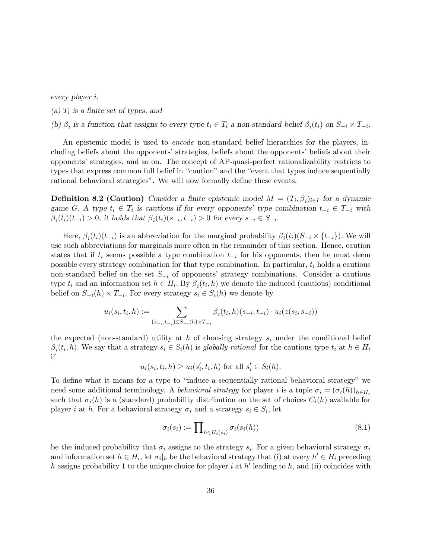every player i;

(a)  $T_i$  is a finite set of types, and

(b)  $\beta_i$  is a function that assigns to every type  $t_i \in T_i$  a non-standard belief  $\beta_i(t_i)$  on  $S_{-i} \times T_{-i}$ .

An epistemic model is used to *encode* non-standard belief hierarchies for the players, including beliefs about the opponents' strategies, beliefs about the opponents' beliefs about their opponents' strategies, and so on. The concept of AP-quasi-perfect rationalizability restricts to types that express common full belief in "caution" and the "event that types induce sequentially rational behavioral strategies". We will now formally define these events.

**Definition 8.2 (Caution)** Consider a finite epistemic model  $M = (T_i, \beta_i)_{i \in I}$  for a dynamic game G. A type  $t_i \in T_i$  is cautious if for every opponents' type combination  $t_{-i} \in T_{-i}$  with  $\beta_i(t_i)(t_{-i}) > 0$ , it holds that  $\beta_i(t_i)(s_{-i}, t_{-i}) > 0$  for every  $s_{-i} \in S_{-i}$ .

Here,  $\beta_i(t_i)(t_{-i})$  is an abbreviation for the marginal probability  $\beta_i(t_i)(S_{-i} \times \{t_{-i}\})$ . We will use such abbreviations for marginals more often in the remainder of this section. Hence, caution states that if  $t_i$  seems possible a type combination  $t_{-i}$  for his opponents, then he must deem possible every strategy combination for that type combination. In particular,  $t_i$  holds a cautious non-standard belief on the set  $S_{-i}$  of opponents' strategy combinations. Consider a cautious type  $t_i$  and an information set  $h \in H_i$ . By  $\beta_i(t_i, h)$  we denote the induced (cautious) conditional belief on  $S_{-i}(h) \times T_{-i}$ . For every strategy  $s_i \in S_i(h)$  we denote by

$$
u_i(s_i, t_i, h) := \sum_{(s_{-i}, t_{-i}) \in S_{-i}(h) \times T_{-i}} \beta_i(t_i, h)(s_{-i}, t_{-i}) \cdot u_i(z(s_i, s_{-i}))
$$

the expected (non-standard) utility at h of choosing strategy  $s_i$  under the conditional belief  $\beta_i(t_i, h)$ . We say that a strategy  $s_i \in S_i(h)$  is globally rational for the cautious type  $t_i$  at  $h \in H_i$ if

$$
u_i(s_i, t_i, h) \ge u_i(s'_i, t_i, h) \text{ for all } s'_i \in S_i(h).
$$

To define what it means for a type to "induce a sequentially rational behavioral strategy" we need some additional terminology. A behavioral strategy for player i is a tuple  $\sigma_i = (\sigma_i(h))_{h \in H_i}$ such that  $\sigma_i(h)$  is a (standard) probability distribution on the set of choices  $C_i(h)$  available for player *i* at *h*. For a behavioral strategy  $\sigma_i$  and a strategy  $s_i \in S_i$ , let

$$
\sigma_i(s_i) := \prod_{h \in H_i(s_i)} \sigma_i(s_i(h)) \tag{8.1}
$$

be the induced probability that  $\sigma_i$  assigns to the strategy  $s_i$ . For a given behavioral strategy  $\sigma_i$ and information set  $h \in H_i$ , let  $\sigma_i|_h$  be the behavioral strategy that (i) at every  $h' \in H_i$  preceding h assigns probability 1 to the unique choice for player i at h' leading to h, and (ii) coincides with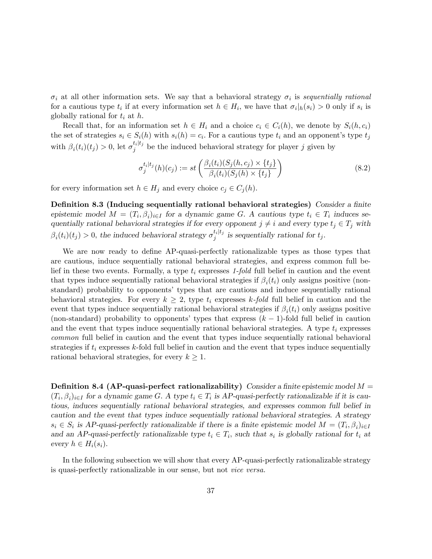$\sigma_i$  at all other information sets. We say that a behavioral strategy  $\sigma_i$  is sequentially rational for a cautious type  $t_i$  if at every information set  $h \in H_i$ , we have that  $\sigma_i|_h(s_i) > 0$  only if  $s_i$  is globally rational for  $t_i$  at  $h$ .

Recall that, for an information set  $h \in H_i$  and a choice  $c_i \in C_i(h)$ , we denote by  $S_i(h, c_i)$ the set of strategies  $s_i \in S_i(h)$  with  $s_i(h) = c_i$ . For a cautious type  $t_i$  and an opponent's type  $t_j$ with  $\beta_i(t_i)(t_j) > 0$ , let  $\sigma_j^{t_i|t_j}$  be the induced behavioral strategy for player j given by

$$
\sigma_j^{t_i|t_j}(h)(c_j) := st\left(\frac{\beta_i(t_i)(S_j(h, c_j) \times \{t_j\}}{\beta_i(t_i)(S_j(h) \times \{t_j\}}\right) \tag{8.2}
$$

for every information set  $h \in H_j$  and every choice  $c_j \in C_j(h)$ .

Definition 8.3 (Inducing sequentially rational behavioral strategies) Consider a finite epistemic model  $M = (T_i, \beta_i)_{i \in I}$  for a dynamic game G. A cautious type  $t_i \in T_i$  induces sequentially rational behavioral strategies if for every opponent  $j \neq i$  and every type  $t_j \in T_j$  with  $\beta_i(t_i)(t_j) > 0$ , the induced behavioral strategy  $\sigma_j^{t_i|t_j}$  is sequentially rational for  $t_j$ .

We are now ready to define AP-quasi-perfectly rationalizable types as those types that are cautious, induce sequentially rational behavioral strategies, and express common full belief in these two events. Formally, a type  $t_i$  expresses 1-fold full belief in caution and the event that types induce sequentially rational behavioral strategies if  $\beta_i(t_i)$  only assigns positive (nonstandard) probability to opponentsí types that are cautious and induce sequentially rational behavioral strategies. For every  $k \geq 2$ , type  $t_i$  expresses k-fold full belief in caution and the event that types induce sequentially rational behavioral strategies if  $\beta_i(t_i)$  only assigns positive (non-standard) probability to opponents' types that express  $(k - 1)$ -fold full belief in caution and the event that types induce sequentially rational behavioral strategies. A type  $t_i$  expresses common full belief in caution and the event that types induce sequentially rational behavioral strategies if  $t_i$  expresses k-fold full belief in caution and the event that types induce sequentially rational behavioral strategies, for every  $k \geq 1$ .

**Definition 8.4 (AP-quasi-perfect rationalizability)** Consider a finite epistemic model  $M =$  $(T_i, \beta_i)_{i \in I}$  for a dynamic game G. A type  $t_i \in T_i$  is AP-quasi-perfectly rationalizable if it is cautious, induces sequentially rational behavioral strategies, and expresses common full belief in caution and the event that types induce sequentially rational behavioral strategies: A strategy  $s_i \in S_i$  is AP-quasi-perfectly rationalizable if there is a finite epistemic model  $M = (T_i, \beta_i)_{i \in I}$ and an AP-quasi-perfectly rationalizable type  $t_i \in T_i$ , such that  $s_i$  is globally rational for  $t_i$  at every  $h \in H_i(s_i)$ .

In the following subsection we will show that every AP-quasi-perfectly rationalizable strategy is quasi-perfectly rationalizable in our sense, but not vice versa.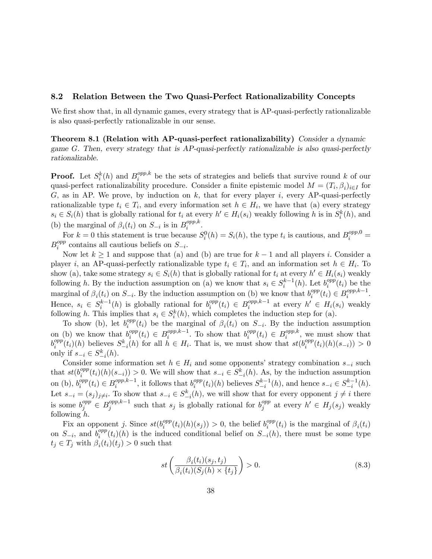#### 8.2 Relation Between the Two Quasi-Perfect Rationalizability Concepts

We first show that, in all dynamic games, every strategy that is AP-quasi-perfectly rationalizable is also quasi-perfectly rationalizable in our sense.

Theorem 8.1 (Relation with AP-quasi-perfect rationalizability) Consider a dynamic game G: Then, every strategy that is AP-quasi-perfectly rationalizable is also quasi-perfectly rationalizable.

**Proof.** Let  $S_i^k(h)$  and  $B_i^{opp,k}$  $e^{opp,\kappa}$  be the sets of strategies and beliefs that survive round k of our quasi-perfect rationalizability procedure. Consider a finite epistemic model  $M = (T_i, \beta_i)_{i \in I}$  for G, as in AP. We prove, by induction on k, that for every player i, every AP-quasi-perfectly rationalizable type  $t_i \in T_i$ , and every information set  $h \in H_i$ , we have that (a) every strategy  $s_i \in S_i(h)$  that is globally rational for  $t_i$  at every  $h' \in H_i(s_i)$  weakly following h is in  $S_i^k(h)$ , and (b) the marginal of  $\beta_i(t_i)$  on  $S_{-i}$  is in  $B_i^{opp,k}$  $_{i}^{opp,\kappa}.$ 

For  $k = 0$  this statement is true because  $S_i^0(h) = S_i(h)$ , the type  $t_i$  is cautious, and  $B_i^{opp,0} =$  $B_i^{opp}$  $e^{opp}_{i}$  contains all cautious beliefs on  $S_{-i}$ .

Now let  $k \ge 1$  and suppose that (a) and (b) are true for  $k-1$  and all players i. Consider a player *i*, an AP-quasi-perfectly rationalizable type  $t_i \in T_i$ , and an information set  $h \in H_i$ . To show (a), take some strategy  $s_i \in S_i(h)$  that is globally rational for  $t_i$  at every  $h' \in H_i(s_i)$  weakly following h. By the induction assumption on (a) we know that  $s_i \in S_i^{k-1}(h)$ . Let  $b_i^{opp}$  $i^{opp}(t_i)$  be the marginal of  $\beta_i(t_i)$  on  $S_{-i}$ . By the induction assumption on (b) we know that  $b_i^{opp}$  $e^{opp}(t_i) \in B_i^{opp,k-1}.$ Hence,  $s_i \in S_i^{k-1}(h)$  is globally rational for  $b_i^{opp}$  $e_i^{opp}(t_i) \in B_i^{opp,k-1}$  at every  $h' \in H_i(s_i)$  weakly following h. This implies that  $s_i \in S_i^k(h)$ , which completes the induction step for (a).

To show (b), let  $b_i^{opp}$  $\hat{f}_i^{opp}(t_i)$  be the marginal of  $\beta_i(t_i)$  on  $S_{-i}$ . By the induction assumption on (b) we know that  $b_i^{opp}$  $i_i^{opp}(t_i) \in B_i^{opp,k-1}$ . To show that  $b_i^{opp}$  $i^{opp}(t_i) \in B_i^{opp,k}$  $i^{opp,\kappa}$ , we must show that  $b_i^{opp}$  $\sum_{i}^{opp}(t_i)(h)$  believes  $S_{-i}^{k}(h)$  for all  $h \in H_i$ . That is, we must show that  $st(b_i^{opp})$  $i^{opp}(t_i)(h)(s_{-i})) > 0$ only if  $s_{-i} \in S_{-i}^k(h)$ .

Consider some information set  $h \in H_i$  and some opponents' strategy combination  $s_{-i}$  such that  $st(b_i^{opp}$  $\binom{opp}{i}(t_i)(h)(s_{-i}) > 0$ . We will show that  $s_{-i} \in S^k_{-i}(h)$ . As, by the induction assumption  $-i$ on (b),  $b_i^{opp}$  $e_i^{opp}(t_i) \in B_i^{opp,k-1}$ , it follows that  $b_i^{opp}$  $\frac{opp}{i}(t_i)(h)$  believes  $S_{-i}^{k-1}(h)$ , and hence  $s_{-i} \in S_{-i}^{k-1}(h)$ . Let  $s_{-i} = (s_j)_{j \neq i}$ . To show that  $s_{-i} \in S_{-i}^k(h)$ , we will show that for every opponent  $j \neq i$  there is some  $b_j^{opp} \in B_j^{opp,k-1}$  such that  $s_j$  is globally rational for  $b_j^{opp}$  $j_j^{opp}$  at every  $h' \in H_j(s_j)$  weakly following  $h$ .

Fix an opponent j. Since  $st(b_i^{opp})$  $i^{opp}(t_i)(h)(s_j)) > 0$ , the belief  $b_i^{opp}$  $e_i^{opp}(t_i)$  is the marginal of  $\beta_i(t_i)$ on  $S_{-i}$ , and  $b_i^{opp}$  $i^{opp}(t_i)(h)$  is the induced conditional belief on  $S_{-i}(h)$ , there must be some type  $t_j \in T_j$  with  $\beta_i(t_i)(t_j) > 0$  such that

$$
st\left(\frac{\beta_i(t_i)(s_j, t_j)}{\beta_i(t_i)(S_j(h) \times \{t_j\}}\right) > 0.
$$
\n(8.3)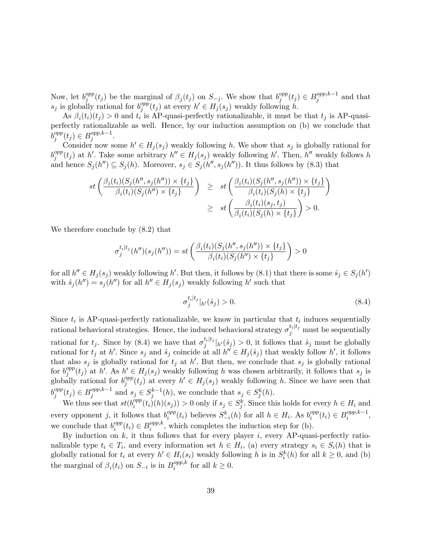Now, let  $b_j^{opp}$  $\int_j^{opp}(t_j)$  be the marginal of  $\beta_j(t_j)$  on  $S_{-j}$ . We show that  $b_j^{opp}$  $j^{opp}(t_j) \in B_j^{opp,k-1}$  and that  $s_j$  is globally rational for  $b_j^{opp}$  $j^{opp}(t_j)$  at every  $h' \in H_j(s_j)$  weakly following h.

As  $\beta_i(t_i)(t_j) > 0$  and  $t_i$  is AP-quasi-perfectly rationalizable, it must be that  $t_j$  is AP-quasiperfectly rationalizable as well. Hence, by our induction assumption on (b) we conclude that  $b_j^{opp}$  $j^{opp}(t_j) \in B_j^{opp,k-1}.$ 

Consider now some  $h' \in H_j(s_j)$  weakly following h. We show that  $s_j$  is globally rational for  $b_j^{opp}$  $j^{opp}(t_j)$  at h'. Take some arbitrary  $h'' \in H_j(s_j)$  weakly following h'. Then, h'' weakly follows h and hence  $S_j(h'') \subseteq S_j(h)$ . Moreover,  $s_j \in S_j(h'', s_j(h''))$ . It thus follows by (8.3) that

$$
st\left(\frac{\beta_i(t_i)(S_j(h'', s_j(h'')) \times \{t_j\}}{\beta_i(t_i)(S_j(h'') \times \{t_j\}}\right) \ge st\left(\frac{\beta_i(t_i)(S_j(h'', s_j(h'')) \times \{t_j\}}{\beta_i(t_i)(S_j(h) \times \{t_j\}}\right)
$$
  

$$
\ge st\left(\frac{\beta_i(t_i)(S_j(h) \times \{t_j\}}{\beta_i(t_i)(S_j(h) \times \{t_j\}}\right) > 0.
$$

We therefore conclude by (8.2) that

$$
\sigma_j^{t_i|t_j}(h'')(s_j(h'')) = st\left(\frac{\beta_i(t_i)(S_j(h'', s_j(h'')) \times \{t_j\}}{\beta_i(t_i)(S_j(h'') \times \{t_j\}}\right) > 0
$$

for all  $h'' \in H_j(s_j)$  weakly following h'. But then, it follows by  $(8.1)$  that there is some  $\hat{s}_j \in S_j (h')$ with  $\hat{s}_j (h'') = s_j (h'')$  for all  $h'' \in H_j (s_j)$  weakly following h' such that

$$
\sigma_j^{t_i|t_j}|_{h'}(\hat{s}_j) > 0. \tag{8.4}
$$

Since  $t_i$  is AP-quasi-perfectly rationalizable, we know in particular that  $t_i$  induces sequentially rational behavioral strategies. Hence, the induced behavioral strategy  $\sigma_j^{t_i|t_j}$  must be sequentially rational for  $t_j$ . Since by (8.4) we have that  $\sigma_j^{t_i|t_j}|_{h'}(s_j) > 0$ , it follows that  $\hat{s}_j$  must be globally rational for  $t_j$  at  $h'$ . Since  $s_j$  and  $\hat{s}_j$  coincide at all  $h'' \in H_j(\hat{s}_j)$  that weakly follow  $h'$ , it follows that also  $s_j$  is globally rational for  $t_j$  at  $h'$ . But then, we conclude that  $s_j$  is globally rational for  $b_i^{opp}$  $j^{opp}(t_j)$  at h'. As  $h' \in H_j(s_j)$  weakly following h was chosen arbitrarily, it follows that  $s_j$  is globally rational for  $b_i^{opp}$  $j^{opp}(t_j)$  at every  $h' \in H_j(s_j)$  weakly following h. Since we have seen that  $b_j^{opp}$  $g_j^{opp}(t_j) \in B_j^{opp,k-1}$  and  $s_j \in S_j^{k-1}(h)$ , we conclude that  $s_j \in S_j^k(h)$ .

We thus see that  $st(b_i^{opp})$  $\binom{opp}{i}(t_i)(h)(s_j)) > 0$  only if  $s_j \in S_j^k$ . Since this holds for every  $h \in H_i$  and every opponent j, it follows that  $b_i^{opp}$  $e_i^{opp}(t_i)$  believes  $S_{-i}^k(h)$  for all  $h \in H_i$ . As  $b_i^{opp}$  $e^{opp}(t_i) \in B_i^{opp,k-1},$ we conclude that  $b_i^{opp}$  $e_i^{opp}(t_i) \in B_i^{opp,k}$  $_{i}^{opp,\kappa}$ , which completes the induction step for (b).

By induction on  $k$ , it thus follows that for every player  $i$ , every AP-quasi-perfectly rationalizable type  $t_i \in T_i$ , and every information set  $h \in H_i$ , (a) every strategy  $s_i \in S_i(h)$  that is globally rational for  $t_i$  at every  $h' \in H_i(s_i)$  weakly following h is in  $S_i^k(h)$  for all  $k \geq 0$ , and (b) the marginal of  $\beta_i(t_i)$  on  $S_{-i}$  is in  $B_i^{opp,k}$  $i^{opp,\kappa}$  for all  $k \geq 0$ .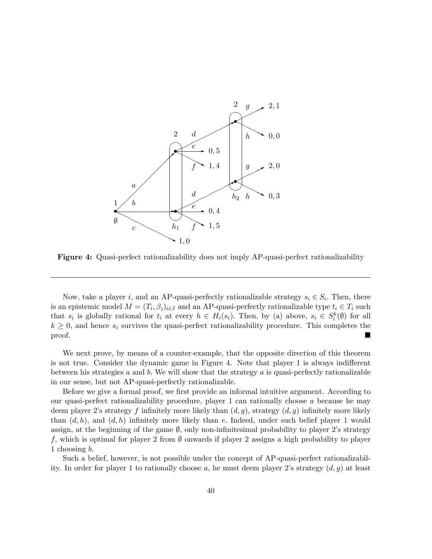

Figure 4: Quasi-perfect rationalizability does not imply AP-quasi-perfect rationalizability

Now, take a player *i*, and an AP-quasi-perfectly rationalizable strategy  $s_i \in S_i$ . Then, there is an epistemic model  $M = (T_i, \beta_i)_{i \in I}$  and an AP-quasi-perfectly rationalizable type  $t_i \in T_i$  such that  $s_i$  is globally rational for  $t_i$  at every  $h \in H_i(s_i)$ . Then, by (a) above,  $s_i \in S_i^k(\emptyset)$  for all  $k \geq 0$ , and hence  $s_i$  survives the quasi-perfect rationalizability procedure. This completes the proof. proof.

We next prove, by means of a counter-example, that the opposite direction of this theorem is not true. Consider the dynamic game in Figure 4. Note that player 1 is always indifferent between his strategies  $a$  and  $b$ . We will show that the strategy  $a$  is quasi-perfectly rationalizable in our sense, but not AP-quasi-perfectly rationalizable.

Before we give a formal proof, we first provide an informal intuitive argument. According to our quasi-perfect rationalizability procedure, player 1 can rationally choose  $a$  because he may deem player 2's strategy f infinitely more likely than  $(d, g)$ , strategy  $(d, g)$  infinitely more likely than  $(d, h)$ , and  $(d, h)$  infinitely more likely than e. Indeed, under such belief player 1 would assign, at the beginning of the game  $\emptyset$ , only non-infinitesimal probability to player 2's strategy f, which is optimal for player 2 from  $\emptyset$  onwards if player 2 assigns a high probability to player 1 choosing b:

Such a belief, however, is not possible under the concept of AP-quasi-perfect rationalizability. In order for player 1 to rationally choose a, he must deem player 2's strategy  $(d, g)$  at least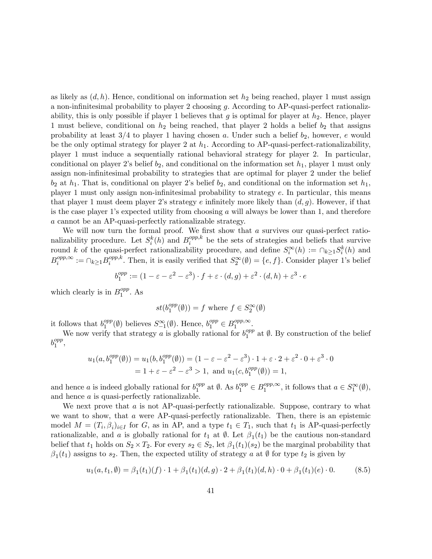as likely as  $(d, h)$ . Hence, conditional on information set  $h_2$  being reached, player 1 must assign a non-infinitesimal probability to player 2 choosing g. According to AP-quasi-perfect rationalizability, this is only possible if player 1 believes that g is optimal for player at  $h_2$ . Hence, player 1 must believe, conditional on  $h_2$  being reached, that player 2 holds a belief  $b_2$  that assigns probability at least  $3/4$  to player 1 having chosen a. Under such a belief  $b_2$ , however, e would be the only optimal strategy for player 2 at  $h_1$ . According to AP-quasi-perfect-rationalizability, player 1 must induce a sequentially rational behavioral strategy for player 2. In particular, conditional on player 2's belief  $b_2$ , and conditional on the information set  $h_1$ , player 1 must only assign non-infinitesimal probability to strategies that are optimal for player 2 under the belief  $b_2$  at  $h_1$ . That is, conditional on player 2's belief  $b_2$ , and conditional on the information set  $h_1$ , player 1 must only assign non-infinitesimal probability to strategy  $e$ . In particular, this means that player 1 must deem player 2's strategy e infinitely more likely than  $(d, g)$ . However, if that is the case player 1's expected utility from choosing  $a$  will always be lower than 1, and therefore a cannot be an AP-quasi-perfectly rationalizable strategy.

We will now turn the formal proof. We first show that  $a$  survives our quasi-perfect rationalizability procedure. Let  $S_i^k(h)$  and  $B_i^{opp,k}$  $e^{opp,\kappa}$  be the sets of strategies and beliefs that survive round k of the quasi-perfect rationalizability procedure, and define  $S_i^{\infty}(h) := \bigcap_{k \geq 1} S_i^k(h)$  and  $B_i^{opp,\infty} := \cap_{k \geq 1} B_i^{opp,k}$  $i^{opp,\kappa}$ . Then, it is easily verified that  $S_2^{\infty}(\emptyset) = \{e, f\}$ . Consider player 1's belief

$$
b_1^{opp} := (1 - \varepsilon - \varepsilon^2 - \varepsilon^3) \cdot f + \varepsilon \cdot (d, g) + \varepsilon^2 \cdot (d, h) + \varepsilon^3 \cdot e
$$

which clearly is in  $B_1^{opp}$  $_1^{opp}$ . As

$$
st(b_1^{opp}(\emptyset)) = f \text{ where } f \in S_2^{\infty}(\emptyset)
$$

it follows that  $b_1^{opp}$  $S_{-1}^{\infty}(\emptyset)$  believes  $S_{-1}^{\infty}(\emptyset)$ . Hence,  $b_1^{opp} \in B_1^{opp,\infty}$ .

We now verify that strategy a is globally rational for  $b_1^{opp}$  $_{1}^{opp}$  at  $\emptyset$ . By construction of the belief  $b_1^{opp}$  $_{1}^{opp},$ 

$$
u_1(a, b_1^{opp}(\emptyset)) = u_1(b, b_1^{opp}(\emptyset)) = (1 - \varepsilon - \varepsilon^2 - \varepsilon^3) \cdot 1 + \varepsilon \cdot 2 + \varepsilon^2 \cdot 0 + \varepsilon^3 \cdot 0
$$
  
= 1 + \varepsilon - \varepsilon^2 - \varepsilon^3 > 1, and  $u_1(c, b_1^{opp}(\emptyset)) = 1$ ,

and hence a is indeed globally rational for  $b_1^{opp}$ <sup>opp</sup> at  $\emptyset$ . As  $b_1^{opp} \in B_1^{opp,\infty}$ , it follows that  $a \in S_1^{\infty}(\emptyset)$ , and hence a is quasi-perfectly rationalizable.

We next prove that  $a$  is not AP-quasi-perfectly rationalizable. Suppose, contrary to what we want to show, that a were AP-quasi-perfectly rationalizable. Then, there is an epistemic model  $M = (T_i, \beta_i)_{i \in I}$  for G, as in AP, and a type  $t_1 \in T_1$ , such that  $t_1$  is AP-quasi-perfectly rationalizable, and a is globally rational for  $t_1$  at  $\emptyset$ . Let  $\beta_1(t_1)$  be the cautious non-standard belief that  $t_1$  holds on  $S_2 \times T_2$ . For every  $s_2 \in S_2$ , let  $\beta_1(t_1)(s_2)$  be the marginal probability that  $\beta_1(t_1)$  assigns to  $s_2$ . Then, the expected utility of strategy a at  $\emptyset$  for type  $t_2$  is given by

$$
u_1(a, t_1, \emptyset) = \beta_1(t_1)(f) \cdot 1 + \beta_1(t_1)(d, g) \cdot 2 + \beta_1(t_1)(d, h) \cdot 0 + \beta_1(t_1)(e) \cdot 0. \tag{8.5}
$$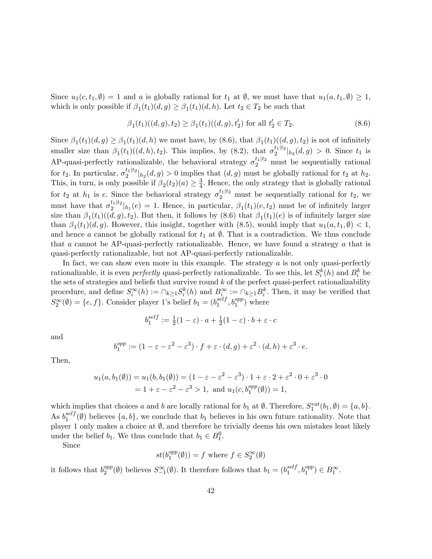Since  $u_1(c, t_1, \emptyset) = 1$  and a is globally rational for  $t_1$  at  $\emptyset$ , we must have that  $u_1(a, t_1, \emptyset) \geq 1$ , which is only possible if  $\beta_1(t_1)(d, g) \geq \beta_1(t_1)(d, h)$ . Let  $t_2 \in T_2$  be such that

$$
\beta_1(t_1)((d,g), t_2) \ge \beta_1(t_1)((d,g), t'_2) \text{ for all } t'_2 \in T_2. \tag{8.6}
$$

Since  $\beta_1(t_1)(d,g) \geq \beta_1(t_1)(d,h)$  we must have, by  $(8.6)$ , that  $\beta_1(t_1)((d,g), t_2)$  is not of infinitely smaller size than  $\beta_1(t_1)((d, h), t_2)$ . This implies, by  $(8.2)$ , that  $\sigma_2^{t_1|t_2}|_{h_2}(d, g) > 0$ . Since  $t_1$  is AP-quasi-perfectly rationalizable, the behavioral strategy  $\sigma_2^{t_1|t_2}$  must be sequentially rational for  $t_2$ . In particular,  $\sigma_2^{t_1|t_2}|_{h_2}(d,g) > 0$  implies that  $(d,g)$  must be globally rational for  $t_2$  at  $h_2$ . This, in turn, is only possible if  $\beta_2(t_2)(a) \geq \frac{3}{4}$  $\frac{3}{4}$ . Hence, the only strategy that is globally rational for  $t_2$  at  $h_1$  is e. Since the behavioral strategy  $\sigma_2^{t_1|t_2}$  must be sequentially rational for  $t_2$ , we must have that  $\sigma_2^{t_1|t_2}|_{h_1}(e) = 1$ . Hence, in particular,  $\beta_1(t_1)(e, t_2)$  must be of infinitely larger size than  $\beta_1(t_1)((d,g), t_2)$ . But then, it follows by  $(8.6)$  that  $\beta_1(t_1)(e)$  is of infinitely larger size than  $\beta_1(t_1)(d, g)$ . However, this insight, together with (8.5), would imply that  $u_1(a, t_1, \emptyset) < 1$ , and hence a cannot be globally rational for  $t_1$  at  $\emptyset$ . That is a contradiction. We thus conclude that a cannot be AP-quasi-perfectly rationalizable. Hence, we have found a strategy  $\alpha$  that is quasi-perfectly rationalizable, but not AP-quasi-perfectly rationalizable.

In fact, we can show even more in this example. The strategy  $a$  is not only quasi-perfectly rationalizable, it is even *perfectly* quasi-perfectly rationalizable. To see this, let  $S_i^k(h)$  and  $B_i^k$  be the sets of strategies and beliefs that survive round  $k$  of the perfect quasi-perfect rationalizability procedure, and define  $S_i^{\infty}(h) := \bigcap_{k \geq 1} S_i^k(h)$  and  $B_i^{\infty} := \bigcap_{k \geq 1} B_i^k$ . Then, it may be verified that  $S_2^{\infty}(\emptyset) = \{e, f\}$ . Consider player 1's belief  $b_1 = (b_1^{self}$  $_1^{self}$ ,  $b_1^{opp}$ ) where

$$
b_1^{self} := \frac{1}{2}(1 - \varepsilon) \cdot a + \frac{1}{2}(1 - \varepsilon) \cdot b + \varepsilon \cdot c
$$

and

$$
b_1^{opp} := (1 - \varepsilon - \varepsilon^2 - \varepsilon^3) \cdot f + \varepsilon \cdot (d, g) + \varepsilon^2 \cdot (d, h) + \varepsilon^3 \cdot e.
$$

Then,

$$
u_1(a, b_1(\emptyset)) = u_1(b, b_1(\emptyset)) = (1 - \varepsilon - \varepsilon^2 - \varepsilon^3) \cdot 1 + \varepsilon \cdot 2 + \varepsilon^2 \cdot 0 + \varepsilon^3 \cdot 0
$$
  
= 1 + \varepsilon - \varepsilon^2 - \varepsilon^3 > 1, and  $u_1(c, b_1^{opp}(\emptyset)) = 1$ ,

which implies that choices a and b are locally rational for  $b_1$  at  $\emptyset$ . Therefore,  $S_1^{rat}(b_1, \emptyset) = \{a, b\}.$ As  $b_1^{self}$  $\binom{1}{1}$  (0) believes  $\{a, b\}$ , we conclude that  $b_1$  believes in his own future rationality. Note that player 1 only makes a choice at  $\emptyset$ , and therefore he trivially deems his own mistakes least likely under the belief  $b_1$ . We thus conclude that  $b_1 \in B_1^0$ .

Since

$$
st(b_1^{opp}(\emptyset)) = f \text{ where } f \in S_2^{\infty}(\emptyset)
$$

it follows that  $b_2^{opp}$  $S_{-1}^{\infty}(\emptyset)$  believes  $S_{-1}^{\infty}(\emptyset)$ . It therefore follows that  $b_1 = (b_1^{self})$  $_1^{self}, b_1^{opp}) \in B_1^{\infty}.$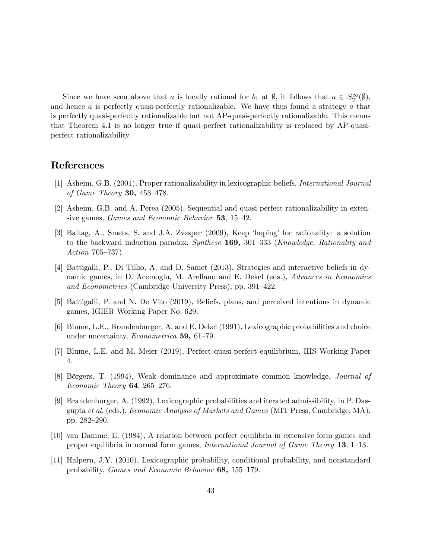Since we have seen above that a is locally rational for  $b_1$  at  $\emptyset$ , it follows that  $a \in S_2^{\infty}(\emptyset)$ , and hence a is perfectly quasi-perfectly rationalizable. We have thus found a strategy a that is perfectly quasi-perfectly rationalizable but not AP-quasi-perfectly rationalizable. This means that Theorem 4.1 is no longer true if quasi-perfect rationalizability is replaced by AP-quasiperfect rationalizability.

### References

- [1] Asheim, G.B. (2001), Proper rationalizability in lexicographic beliefs, International Journal of Game Theory 30, 453-478.
- [2] Asheim, G.B. and A. Perea (2005), Sequential and quasi-perfect rationalizability in extensive games, *Games and Economic Behavior* 53, 15–42.
- [3] Baltag, A., Smets, S. and J.A. Zvesper (2009), Keep ëhopingí for rationality: a solution to the backward induction paradox, *Synthese* **169**, 301–333 (*Knowledge, Rationality and* Action  $705 - 737$ ).
- [4] Battigalli, P., Di Tillio, A. and D. Samet (2013), Strategies and interactive beliefs in dynamic games, in D. Acemoglu, M. Arellano and E. Dekel (eds.), Advances in Economics and Econometrics (Cambridge University Press), pp. 391-422.
- [5] Battigalli, P. and N. De Vito (2019), Beliefs, plans, and perceived intentions in dynamic games, IGIER Working Paper No. 629.
- [6] Blume, L.E., Brandenburger, A. and E. Dekel (1991), Lexicographic probabilities and choice under uncertainty, *Econometrica* 59, 61–79.
- [7] Blume, L.E. and M. Meier (2019), Perfect quasi-perfect equilibrium, IHS Working Paper 4.
- [8] Börgers, T. (1994), Weak dominance and approximate common knowledge, *Journal of* Economic Theory 64, 265–276.
- [9] Brandenburger, A. (1992), Lexicographic probabilities and iterated admissibility, in P. Dasgupta et al. (eds.), Economic Analysis of Markets and Games (MIT Press, Cambridge, MA), pp. 282-290.
- [10] van Damme, E. (1984), A relation between perfect equilibria in extensive form games and proper equilibria in normal form games, *International Journal of Game Theory* 13, 1–13.
- [11] Halpern, J.Y. (2010), Lexicographic probability, conditional probability, and nonstandard probability, *Games and Economic Behavior* 68, 155–179.